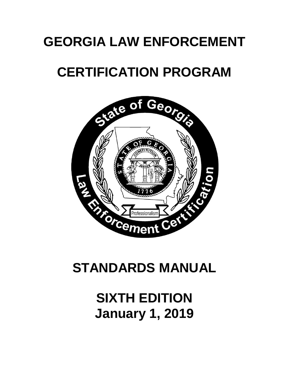# **GEORGIA LAW ENFORCEMENT**

# **CERTIFICATION PROGRAM**



# **STANDARDS MANUAL**

# **SIXTH EDITION January 1, 2019**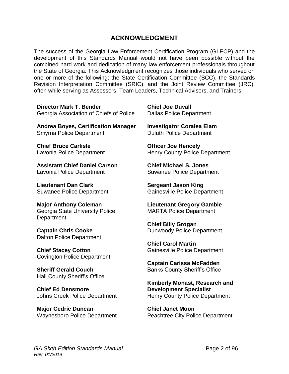## **ACKNOWLEDGMENT**

The success of the Georgia Law Enforcement Certification Program (GLECP) and the development of this Standards Manual would not have been possible without the combined hard work and dedication of many law enforcement professionals throughout the State of Georgia. This Acknowledgment recognizes those individuals who served on one or more of the following: the State Certification Committee (SCC), the Standards Revision Interpretation Committee (SRIC), and the Joint Review Committee (JRC), often while serving as Assessors, Team Leaders, Technical Advisors, and Trainers:

**Director Mark T. Bender**  Georgia Association of Chiefs of Police

**Andrea Boyes, Certification Manager** Smyrna Police Department

**Chief Bruce Carlisle** Lavonia Police Department

**Assistant Chief Daniel Carson** Lavonia Police Department

**Lieutenant Dan Clark** Suwanee Police Department

**Major Anthony Coleman** Georgia State University Police **Department** 

**Captain Chris Cooke** Dalton Police Department

**Chief Stacey Cotton** Covington Police Department

**Sheriff Gerald Couch** Hall County Sheriff's Office

**Chief Ed Densmore** Johns Creek Police Department

**Major Cedric Duncan** Waynesboro Police Department **Chief Joe Duvall** Dallas Police Department

**Investigator Coralea Elam** Duluth Police Department

**Officer Joe Hencely** Henry County Police Department

**Chief Michael S. Jones** Suwanee Police Department

**Sergeant Jason King** Gainesville Police Department

**Lieutenant Gregory Gamble** MARTA Police Department

**Chief Billy Grogan** Dunwoody Police Department

**Chief Carol Martin** Gainesville Police Department

**Captain Carissa McFadden** Banks County Sheriff's Office

**Kimberly Monast, Research and Development Specialist** Henry County Police Department

**Chief Janet Moon** Peachtree City Police Department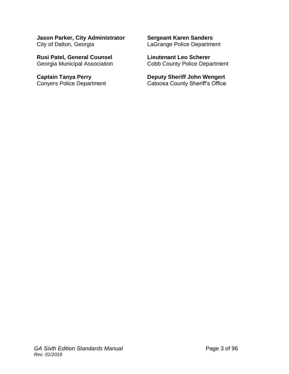**Jason Parker, City Administrator** City of Dalton, Georgia

**Rusi Patel, General Counsel** Georgia Municipal Association

**Captain Tanya Perry** Conyers Police Department **Sergeant Karen Sanders** LaGrange Police Department

**Lieutenant Leo Scherer** Cobb County Police Department

**Deputy Sheriff John Wengert** Catoosa County Sheriff's Office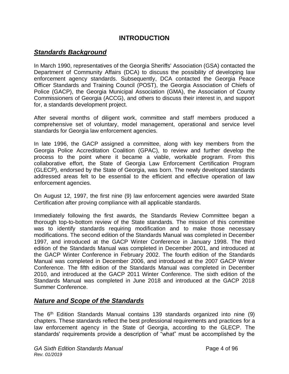## **INTRODUCTION**

## *Standards Background*

In March 1990, representatives of the Georgia Sheriffs' Association (GSA) contacted the Department of Community Affairs (DCA) to discuss the possibility of developing law enforcement agency standards. Subsequently, DCA contacted the Georgia Peace Officer Standards and Training Council (POST), the Georgia Association of Chiefs of Police (GACP), the Georgia Municipal Association (GMA), the Association of County Commissioners of Georgia (ACCG), and others to discuss their interest in, and support for, a standards development project.

After several months of diligent work, committee and staff members produced a comprehensive set of voluntary, model management, operational and service level standards for Georgia law enforcement agencies.

In late 1996, the GACP assigned a committee, along with key members from the Georgia Police Accreditation Coalition (GPAC), to review and further develop the process to the point where it became a viable, workable program. From this collaborative effort, the State of Georgia Law Enforcement Certification Program (GLECP), endorsed by the State of Georgia, was born. The newly developed standards addressed areas felt to be essential to the efficient and effective operation of law enforcement agencies.

On August 12, 1997, the first nine (9) law enforcement agencies were awarded State Certification after proving compliance with all applicable standards.

Immediately following the first awards, the Standards Review Committee began a thorough top-to-bottom review of the State standards. The mission of this committee was to identify standards requiring modification and to make those necessary modifications. The second edition of the Standards Manual was completed in December 1997, and introduced at the GACP Winter Conference in January 1998. The third edition of the Standards Manual was completed in December 2001, and introduced at the GACP Winter Conference in February 2002. The fourth edition of the Standards Manual was completed in December 2006, and introduced at the 2007 GACP Winter Conference. The fifth edition of the Standards Manual was completed in December 2010, and introduced at the GACP 2011 Winter Conference. The sixth edition of the Standards Manual was completed in June 2018 and introduced at the GACP 2018 Summer Conference.

## *Nature and Scope of the Standards*

The 6<sup>th</sup> Edition Standards Manual contains 139 standards organized into nine (9) chapters. These standards reflect the best professional requirements and practices for a law enforcement agency in the State of Georgia, according to the GLECP. The standards' requirements provide a description of "what" must be accomplished by the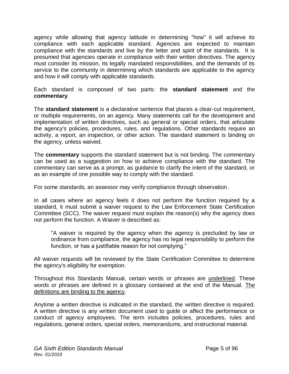agency while allowing that agency latitude in determining "how" it will achieve its compliance with each applicable standard. Agencies are expected to maintain compliance with the standards and live by the letter and spirit of the standards. It is presumed that agencies operate in compliance with their written directives. The agency must consider its mission, its legally mandated responsibilities, and the demands of its service to the community in determining which standards are applicable to the agency and how it will comply with applicable standards.

Each standard is composed of two parts: the **standard statement** and the **commentary**.

The **standard statement** is a declarative sentence that places a clear-cut requirement, or multiple requirements, on an agency. Many statements call for the development and implementation of written directives, such as general or special orders, that articulate the agency's policies, procedures, rules, and regulations. Other standards require an activity, a report, an inspection, or other action. The standard statement is binding on the agency, unless waived.

The **commentary** supports the standard statement but is not binding. The commentary can be used as a suggestion on how to achieve compliance with the standard. The commentary can serve as a prompt, as guidance to clarify the intent of the standard, or as an example of one possible way to comply with the standard.

For some standards, an assessor may verify compliance through observation.

In all cases where an agency feels it does not perform the function required by a standard, it must submit a waiver request to the Law Enforcement State Certification Committee (SCC). The waiver request must explain the reason(s) why the agency does not perform the function. A Waiver is described as:

"A waiver is required by the agency when the agency is precluded by law or ordinance from compliance, the agency has no legal responsibility to perform the function, or has a justifiable reason for not complying."

All waiver requests will be reviewed by the State Certification Committee to determine the agency's eligibility for exemption.

Throughout this Standards Manual, certain words or phrases are underlined. These words or phrases are defined in a glossary contained at the end of the Manual. The definitions are binding to the agency.

Anytime a written directive is indicated in the standard, the written directive is required. A written directive is any written document used to guide or affect the performance or conduct of agency employees. The term includes policies, procedures, rules and regulations, general orders, special orders, memorandums, and instructional material.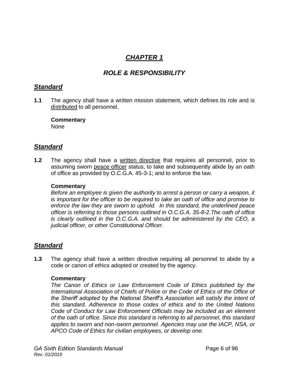## *CHAPTER 1*

## *ROLE & RESPONSIBILITY*

## *Standard*

**1.1** The agency shall have a written mission statement, which defines its role and is distributed to all personnel.

**Commentary** None

## *Standard*

**1.2** The agency shall have a written directive that requires all personnel, prior to assuming sworn peace officer status, to take and subsequently abide by an oath of office as provided by O.C.G.A. 45-3-1; and to enforce the law.

#### **Commentary**

*Before an employee is given the authority to arrest a person or carry a weapon, it is important for the officer to be required to take an oath of office and promise to enforce the law they are sworn to uphold. In this standard, the underlined peace officer is referring to those persons outlined in O.C.G.A. 35-8-2.The oath of office is clearly outlined in the O.C.G.A. and should be administered by the CEO, a judicial officer, or other Constitutional Officer.* 

## *Standard*

**1.3** The agency shall have a written directive requiring all personnel to abide by a code or canon of ethics adopted or created by the agency.

#### **Commentary**

*The Canon of Ethics or Law Enforcement Code of Ethics published by the International Association of Chiefs of Police or the Code of Ethics of the Office of the Sheriff adopted by the National Sheriff's Association will satisfy the intent of this standard. Adherence to those codes of ethics and to the United Nations Code of Conduct for Law Enforcement Officials may be included as an element of the oath of office. Since this standard is referring to all personnel, this standard applies to sworn and non-sworn personnel. Agencies may use the IACP, NSA, or APCO Code of Ethics for civilian employees, or develop one.*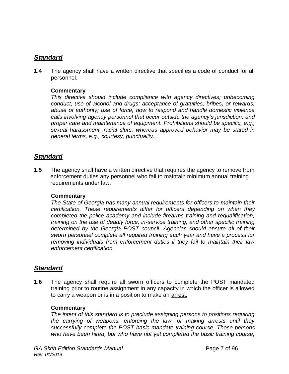## *Standard*

**1.4** The agency shall have a written directive that specifies a code of conduct for all personnel.

#### **Commentary**

*This directive should include compliance with agency directives; unbecoming conduct; use of alcohol and drugs; acceptance of gratuities, bribes, or rewards; abuse of authority; use of force; how to respond and handle domestic violence calls involving agency personnel that occur outside the agency's jurisdiction; and proper care and maintenance of equipment. Prohibitions should be specific, e.g., sexual harassment, racial slurs, whereas approved behavior may be stated in general terms, e.g., courtesy, punctuality.* 

## *Standard*

**1.5** The agency shall have a written directive that requires the agency to remove from enforcement duties any personnel who fail to maintain minimum annual training requirements under law.

#### **Commentary**

*The State of Georgia has many annual requirements for officers to maintain their certification. These requirements differ for officers depending on when they completed the police academy and include firearms training and requalification, training on the use of deadly force, in-service training, and other specific training determined by the Georgia POST council. Agencies should ensure all of their sworn personnel complete all required training each year and have a process for removing individuals from enforcement duties if they fail to maintain their law enforcement certification.* 

## *Standard*

**1.6** The agency shall require all sworn officers to complete the POST mandated training prior to routine assignment in any capacity in which the officer is allowed to carry a weapon or is in a position to make an arrest.

#### **Commentary**

*The intent of this standard is to preclude assigning persons to positions requiring the carrying of weapons, enforcing the law, or making arrests until they successfully complete the POST basic mandate training course. Those persons who have been hired, but who have not yet completed the basic training course,*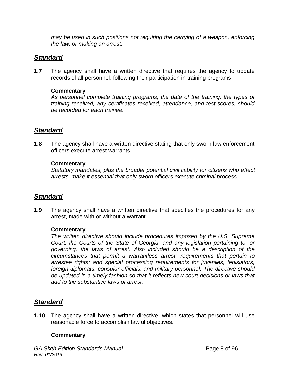*may be used in such positions not requiring the carrying of a weapon, enforcing the law, or making an arrest.*

## *Standard*

**1.7** The agency shall have a written directive that requires the agency to update records of all personnel, following their participation in training programs.

#### **Commentary**

*As personnel complete training programs, the date of the training, the types of training received, any certificates received, attendance, and test scores, should be recorded for each trainee.*

## *Standard*

**1.8** The agency shall have a written directive stating that only sworn law enforcement officers execute arrest warrants.

#### **Commentary**

*Statutory mandates, plus the broader potential civil liability for citizens who effect arrests, make it essential that only sworn officers execute criminal process.*

## *Standard*

**1.9** The agency shall have a written directive that specifies the procedures for any arrest, made with or without a warrant.

#### **Commentary**

*The written directive should include procedures imposed by the U.S. Supreme Court, the Courts of the State of Georgia, and any legislation pertaining to, or governing, the laws of arrest. Also included should be a description of the circumstances that permit a warrantless arrest; requirements that pertain to arrestee rights; and special processing requirements for juveniles, legislators, foreign diplomats, consular officials, and military personnel. The directive should be updated in a timely fashion so that it reflects new court decisions or laws that add to the substantive laws of arrest.*

## *Standard*

**1.10** The agency shall have a written directive, which states that personnel will use reasonable force to accomplish lawful objectives.

#### **Commentary**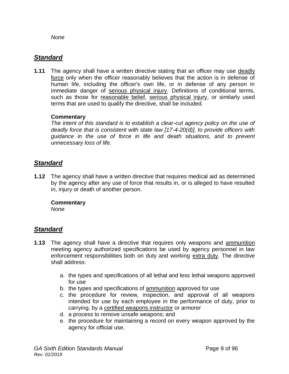*None*

## *Standard*

**1.11** The agency shall have a written directive stating that an officer may use deadly force only when the officer reasonably believes that the action is in defense of human life, including the officer's own life, or in defense of any person in immediate danger of serious physical injury. Definitions of conditional terms, such as those for reasonable belief, serious physical injury, or similarly used terms that are used to qualify the directive, shall be included.

#### **Commentary**

*The intent of this standard is to establish a clear-cut agency policy on the use of deadly force that is consistent with state law [17-4-20(d)], to provide officers with guidance in the use of force in life and death situations, and to prevent unnecessary loss of life.*

## *Standard*

**1.12** The agency shall have a written directive that requires medical aid as determined by the agency after any use of force that results in, or is alleged to have resulted in, injury or death of another person.

#### **Commentary**

*None*

- **1.13** The agency shall have a directive that requires only weapons and ammunition meeting agency authorized specifications be used by agency personnel in law enforcement responsibilities both on duty and working extra duty. The directive shall address:
	- a. the types and specifications of all lethal and less lethal weapons approved for use
	- b. the types and specifications of ammunition approved for use
	- c. the procedure for review, inspection, and approval of all weapons intended for use by each employee in the performance of duty, prior to carrying, by a certified weapons instructor or armorer
	- d. a process to remove unsafe weapons; and
	- e. the procedure for maintaining a record on every weapon approved by the agency for official use.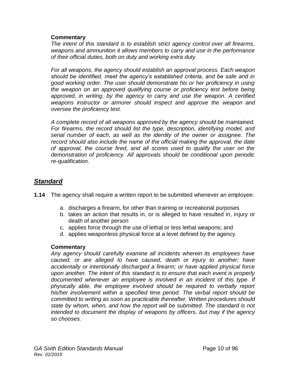#### **Commentary**

*The intent of this standard is to establish strict agency control over all firearms, weapons and ammunition it allows members to carry and use in the performance of their official duties, both on duty and working extra duty.* 

*For all weapons, the agency should establish an approval process. Each weapon should be identified, meet the agency's established criteria, and be safe and in good working order. The user should demonstrate his or her proficiency in using the weapon on an approved qualifying course or proficiency test before being approved, in writing, by the agency to carry and use the weapon. A certified weapons instructor or armorer should inspect and approve the weapon and oversee the proficiency test.* 

*A complete record of all weapons approved by the agency should be maintained.*  For firearms, the record should list the type, description, identifying model, and *serial number of each, as well as the identity of the owner or assignee. The record should also include the name of the official making the approval, the date of approval, the course fired, and all scores used to qualify the user on the demonstration of proficiency. All approvals should be conditional upon periodic re-qualification.*

## *Standard*

- **1.14** The agency shall require a written report to be submitted whenever an employee:
	- a. discharges a firearm, for other than training or recreational purposes
	- b. takes an action that results in, or is alleged to have resulted in, injury or death of another person
	- c. applies force through the use of lethal or less lethal weapons; and
	- d. applies weaponless physical force at a level defined by the agency.

#### **Commentary**

*Any agency should carefully examine all incidents wherein its employees have caused, or are alleged to have caused, death or injury to another; have accidentally or intentionally discharged a firearm; or have applied physical force upon another. The intent of this standard is to ensure that each event is properly documented whenever an employee is involved in an incident of this type. If physically able, the employee involved should be required to verbally report his/her involvement within a specified time period. The verbal report should be committed to writing as soon as practicable thereafter. Written procedures should state by whom, when, and how the report will be submitted. The standard is not intended to document the display of weapons by officers, but may if the agency so chooses.*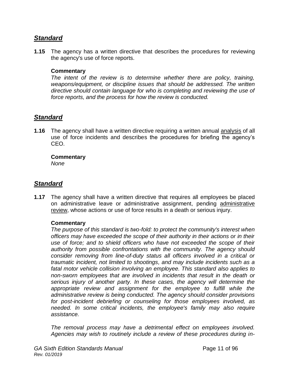## *Standard*

**1.15** The agency has a written directive that describes the procedures for reviewing the agency's use of force reports.

#### **Commentary**

*The intent of the review is to determine whether there are policy, training, weapons/equipment, or discipline issues that should be addressed. The written directive should contain language for who is completing and reviewing the use of force reports, and the process for how the review is conducted.* 

## *Standard*

**1.16** The agency shall have a written directive requiring a written annual analysis of all use of force incidents and describes the procedures for briefing the agency's CEO.

#### **Commentary**

*None*

## *Standard*

**1.17** The agency shall have a written directive that requires all employees be placed on administrative leave or administrative assignment, pending administrative review, whose actions or use of force results in a death or serious injury.

#### **Commentary**

*The purpose of this standard is two-fold: to protect the community's interest when officers may have exceeded the scope of their authority in their actions or in their use of force; and to shield officers who have not exceeded the scope of their authority from possible confrontations with the community. The agency should consider removing from line-of-duty status all officers involved in a critical or traumatic incident, not limited to shootings, and may include incidents such as a fatal motor vehicle collision involving an employee. This standard also applies to non-sworn employees that are involved in incidents that result in the death or serious injury of another party. In these cases, the agency will determine the appropriate review and assignment for the employee to fulfill while the administrative review is being conducted. The agency should consider provisions for post-incident debriefing or counseling for those employees involved, as needed. In some critical incidents, the employee's family may also require assistance.*

*The removal process may have a detrimental effect on employees involved. Agencies may wish to routinely include a review of these procedures during in-*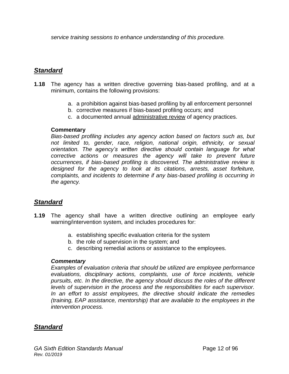*service training sessions to enhance understanding of this procedure.*

## *Standard*

- **1.18** The agency has a written directive governing bias-based profiling, and at a minimum, contains the following provisions:
	- a. a prohibition against bias-based profiling by all enforcement personnel
	- b. corrective measures if bias-based profiling occurs; and
	- c. a documented annual administrative review of agency practices.

#### **Commentary**

*Bias-based profiling includes any agency action based on factors such as, but not limited to, gender, race, religion, national origin, ethnicity, or sexual orientation. The agency's written directive should contain language for what corrective actions or measures the agency will take to prevent future occurrences, if bias-based profiling is discovered. The administrative review is designed for the agency to look at its citations, arrests, asset forfeiture, complaints, and incidents to determine if any bias-based profiling is occurring in the agency.* 

## *Standard*

- **1.19** The agency shall have a written directive outlining an employee early warning/intervention system, and includes procedures for:
	- a. establishing specific evaluation criteria for the system
	- b. the role of supervision in the system; and
	- c. describing remedial actions or assistance to the employees.

#### *Commentary*

*Examples of evaluation criteria that should be utilized are employee performance evaluations, disciplinary actions, complaints, use of force incidents, vehicle pursuits, etc. In the directive, the agency should discuss the roles of the different levels of supervision in the process and the responsibilities for each supervisor. In an effort to assist employees, the directive should indicate the remedies (training, EAP assistance, mentorship) that are available to the employees in the intervention process.*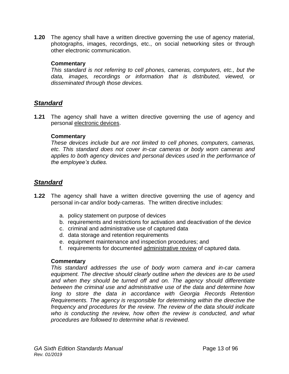**1.20** The agency shall have a written directive governing the use of agency material, photographs, images, recordings, etc., on social networking sites or through other electronic communication.

#### **Commentary**

*This standard is not referring to cell phones, cameras, computers, etc., but the data, images, recordings or information that is distributed, viewed, or disseminated through those devices.* 

## *Standard*

**1.21** The agency shall have a written directive governing the use of agency and personal electronic devices.

#### **Commentary**

*These devices include but are not limited to cell phones, computers, cameras, etc. This standard does not cover in-car cameras or body worn cameras and applies to both agency devices and personal devices used in the performance of the employee's duties.* 

## *Standard*

- **1.22** The agency shall have a written directive governing the use of agency and personal in-car and/or body-cameras. The written directive includes:
	- a. policy statement on purpose of devices
	- b. requirements and restrictions for activation and deactivation of the device
	- c. criminal and administrative use of captured data
	- d. data storage and retention requirements
	- e. equipment maintenance and inspection procedures; and
	- f. requirements for documented administrative review of captured data.

#### **Commentary**

*This standard addresses the use of body worn camera and in-car camera equipment. The directive should clearly outline when the devices are to be used*  and when they should be turned off and on. The agency should differentiate *between the criminal use and administrative use of the data and determine how*  long to store the data in accordance with Georgia Records Retention *Requirements. The agency is responsible for determining within the directive the frequency and procedures for the review. The review of the data should indicate who is conducting the review, how often the review is conducted, and what procedures are followed to determine what is reviewed.*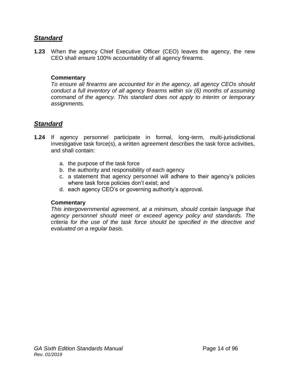## *Standard*

**1.23** When the agency Chief Executive Officer (CEO) leaves the agency, the new CEO shall ensure 100% accountability of all agency firearms.

#### **Commentary**

*To ensure all firearms are accounted for in the agency, all agency CEOs should conduct a full inventory of all agency firearms within six (6) months of assuming command of the agency. This standard does not apply to interim or temporary assignments.* 

## *Standard*

- **1.24** If agency personnel participate in formal, long-term, multi-jurisdictional investigative task force(s), a written agreement describes the task force activities, and shall contain:
	- a. the purpose of the task force
	- b. the authority and responsibility of each agency
	- c. a statement that agency personnel will adhere to their agency's policies where task force policies don't exist; and
	- d. each agency CEO's or governing authority's approval.

#### **Commentary**

*This intergovernmental agreement, at a minimum, should contain language that agency personnel should meet or exceed agency policy and standards. The criteria for the use of the task force should be specified in the directive and evaluated on a regular basis.*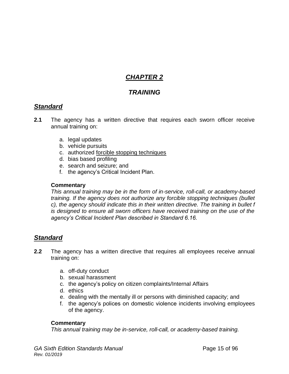## *CHAPTER 2*

## *TRAINING*

## *Standard*

- **2.1** The agency has a written directive that requires each sworn officer receive annual training on:
	- a. legal updates
	- b. vehicle pursuits
	- c. authorized forcible stopping techniques
	- d. bias based profiling
	- e. search and seizure; and
	- f. the agency's Critical Incident Plan.

#### **Commentary**

*This annual training may be in the form of in-service, roll-call, or academy-based training. If the agency does not authorize any forcible stopping techniques (bullet c), the agency should indicate this in their written directive. The training in bullet f is designed to ensure all sworn officers have received training on the use of the agency's Critical Incident Plan described in Standard 6.16.*

## *Standard*

- **2.2** The agency has a written directive that requires all employees receive annual training on:
	- a. off-duty conduct
	- b. sexual harassment
	- c. the agency's policy on citizen complaints/Internal Affairs
	- d. ethics
	- e. dealing with the mentally ill or persons with diminished capacity; and
	- f. the agency's polices on domestic violence incidents involving employees of the agency.

#### **Commentary**

*This annual training may be in-service, roll-call, or academy-based training.*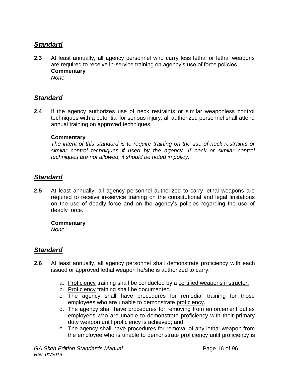## *Standard*

**2.3** At least annually, all agency personnel who carry less lethal or lethal weapons are required to receive in-service training on agency's use of force policies. **Commentary** *None*

## *Standard*

**2.4** If the agency authorizes use of neck restraints or similar weaponless control techniques with a potential for serious injury, all authorized personnel shall attend annual training on approved techniques.

#### **Commentary**

*The intent of this standard is to require training on the use of neck restraints or similar control techniques if used by the agency. If neck or similar control techniques are not allowed, it should be noted in policy.*

## *Standard*

**2.5** At least annually, all agency personnel authorized to carry lethal weapons are required to receive in-service training on the constitutional and legal limitations on the use of deadly force and on the agency's policies regarding the use of deadly force.

#### **Commentary**

*None*

- **2.6** At least annually, all agency personnel shall demonstrate proficiency with each issued or approved lethal weapon he/she is authorized to carry.
	- a. Proficiency training shall be conducted by a certified weapons instructor.
	- b. Proficiency training shall be documented.
	- c. The agency shall have procedures for remedial training for those employees who are unable to demonstrate proficiency.
	- d. The agency shall have procedures for removing from enforcement duties employees who are unable to demonstrate proficiency with their primary duty weapon until proficiency is achieved; and
	- e. The agency shall have procedures for removal of any lethal weapon from the employee who is unable to demonstrate proficiency until proficiency is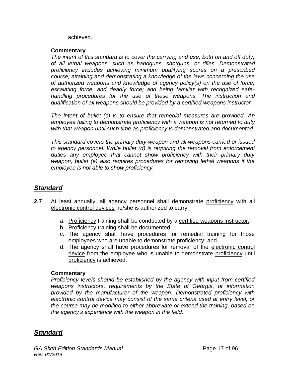achieved.

#### **Commentary**

*The intent of this standard is to cover the carrying and use, both on and off duty, of all lethal weapons, such as handguns, shotguns, or rifles. Demonstrated proficiency includes achieving minimum qualifying scores on a prescribed course; attaining and demonstrating a knowledge of the laws concerning the use of authorized weapons and knowledge of agency policy(s) on the use of force, escalating force, and deadly force; and being familiar with recognized safehandling procedures for the use of these weapons. The instruction and qualification of all weapons should be provided by a certified weapons instructor.*

*The intent of bullet (c) is to ensure that remedial measures are provided. An employee failing to demonstrate proficiency with a weapon is not returned to duty with that weapon until such time as proficiency is demonstrated and documented.*

*This standard covers the primary duty weapon and all weapons carried or issued to agency personnel. While bullet (d) is requiring the removal from enforcement duties any employee that cannot show proficiency with their primary duty weapon, bullet (e) also requires procedures for removing lethal weapons if the employee is not able to show proficiency.* 

## *Standard*

- **2.7** At least annually, all agency personnel shall demonstrate proficiency with all electronic control devices he/she is authorized to carry.
	- a. Proficiency training shall be conducted by a certified weapons instructor.
	- b. Proficiency training shall be documented.
	- c. The agency shall have procedures for remedial training for those employees who are unable to demonstrate proficiency; and
	- d. The agency shall have procedures for removal of the electronic control device from the employee who is unable to demonstrate proficiency until proficiency is achieved.

#### **Commentary**

*Proficiency levels should be established by the agency with input from certified weapons instructors, requirements by the State of Georgia, or information provided by the manufacturer of the weapon. Demonstrated proficiency with electronic control device may consist of the same criteria used at entry level, or the course may be modified to either abbreviate or extend the training, based on the agency's experience with the weapon in the field.*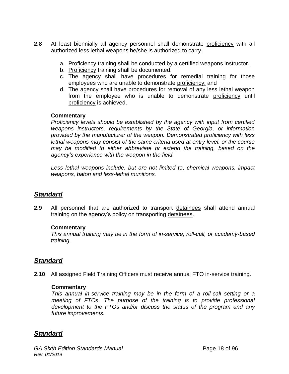- **2.8** At least biennially all agency personnel shall demonstrate proficiency with all authorized less lethal weapons he/she is authorized to carry.
	- a. Proficiency training shall be conducted by a certified weapons instructor.
	- b. Proficiency training shall be documented.
	- c. The agency shall have procedures for remedial training for those employees who are unable to demonstrate proficiency; and
	- d. The agency shall have procedures for removal of any less lethal weapon from the employee who is unable to demonstrate proficiency until proficiency is achieved.

#### **Commentary**

*Proficiency levels should be established by the agency with input from certified weapons instructors, requirements by the State of Georgia, or information provided by the manufacturer of the weapon. Demonstrated proficiency with less lethal weapons may consist of the same criteria used at entry level, or the course may be modified to either abbreviate or extend the training, based on the agency's experience with the weapon in the field.*

*Less lethal weapons include, but are not limited to, chemical weapons, impact weapons, baton and less-lethal munitions.*

## *Standard*

**2.9** All personnel that are authorized to transport detainees shall attend annual training on the agency's policy on transporting detainees.

#### **Commentary**

*This annual training may be in the form of in-service, roll-call, or academy-based training.*

## *Standard*

**2.10** All assigned Field Training Officers must receive annual FTO in-service training.

#### **Commentary**

*This annual in-service training may be in the form of a roll-call setting or a meeting of FTOs. The purpose of the training is to provide professional development to the FTOs and/or discuss the status of the program and any future improvements.*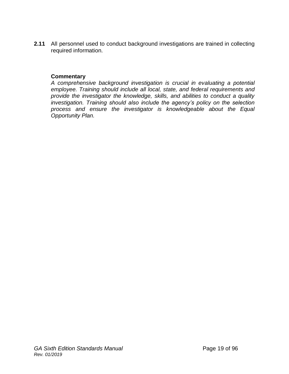**2.11** All personnel used to conduct background investigations are trained in collecting required information.

#### **Commentary**

*A comprehensive background investigation is crucial in evaluating a potential employee. Training should include all local, state, and federal requirements and provide the investigator the knowledge, skills, and abilities to conduct a quality investigation. Training should also include the agency's policy on the selection process and ensure the investigator is knowledgeable about the Equal Opportunity Plan.*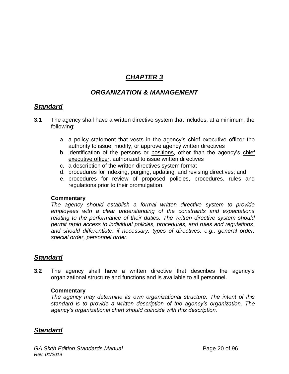# *CHAPTER 3*

## *ORGANIZATION & MANAGEMENT*

## *Standard*

- **3.1** The agency shall have a written directive system that includes, at a minimum, the following:
	- a. a policy statement that vests in the agency's chief executive officer the authority to issue, modify, or approve agency written directives
	- b. identification of the persons or positions, other than the agency's chief executive officer, authorized to issue written directives
	- c. a description of the written directives system format
	- d. procedures for indexing, purging, updating, and revising directives; and
	- e. procedures for review of proposed policies, procedures, rules and regulations prior to their promulgation.

#### **Commentary**

*The agency should establish a formal written directive system to provide employees with a clear understanding of the constraints and expectations relating to the performance of their duties. The written directive system should permit rapid access to individual policies, procedures, and rules and regulations, and should differentiate, if necessary, types of directives, e.g., general order, special order, personnel order.*

## *Standard*

**3.2** The agency shall have a written directive that describes the agency's organizational structure and functions and is available to all personnel.

#### **Commentary**

*The agency may determine its own organizational structure. The intent of this standard is to provide a written description of the agency's organization. The agency's organizational chart should coincide with this description.*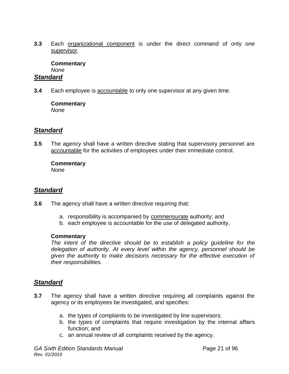**3.3** Each organizational component is under the direct command of only one supervisor.

#### **Commentary** *None*

## *Standard*

**3.4** Each employee is accountable to only one supervisor at any given time.

#### **Commentary**

*None*

## *Standard*

**3.5** The agency shall have a written directive stating that supervisory personnel are accountable for the activities of employees under their immediate control.

# **Commentary**

*None*

## *Standard*

- **3.6** The agency shall have a written directive requiring that:
	- a. responsibility is accompanied by commensurate authority; and
	- b. each employee is accountable for the use of delegated authority.

#### **Commentary**

*The intent of the directive should be to establish a policy guideline for the delegation of authority. At every level within the agency, personnel should be given the authority to make decisions necessary for the effective execution of their responsibilities.*

- **3.7** The agency shall have a written directive requiring all complaints against the agency or its employees be investigated, and specifies:
	- a. the types of complaints to be investigated by line supervisors;
	- b. the types of complaints that require investigation by the internal affairs function; and
	- c. an annual review of all complaints received by the agency.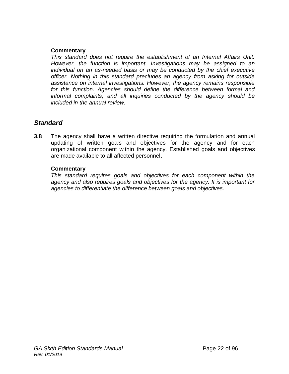#### **Commentary**

*This standard does not require the establishment of an Internal Affairs Unit. However, the function is important. Investigations may be assigned to an individual on an as-needed basis or may be conducted by the chief executive officer. Nothing in this standard precludes an agency from asking for outside assistance on internal investigations. However, the agency remains responsible for this function. Agencies should define the difference between formal and informal complaints, and all inquiries conducted by the agency should be included in the annual review.* 

## *Standard*

**3.8** The agency shall have a written directive requiring the formulation and annual updating of written goals and objectives for the agency and for each organizational component within the agency. Established goals and objectives are made available to all affected personnel.

#### **Commentary**

*This standard requires goals and objectives for each component within the agency and also requires goals and objectives for the agency. It is important for agencies to differentiate the difference between goals and objectives.*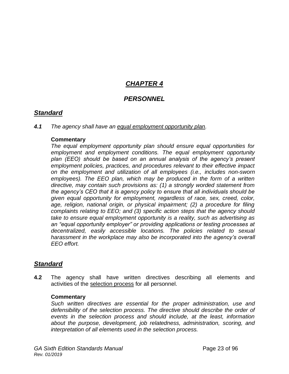# *CHAPTER 4*

## *PERSONNEL*

## *Standard*

#### *4.1 The agency shall have an equal employment opportunity plan.*

#### **Commentary**

*The equal employment opportunity plan should ensure equal opportunities for employment and employment conditions. The equal employment opportunity plan (EEO) should be based on an annual analysis of the agency's present employment policies, practices, and procedures relevant to their effective impact on the employment and utilization of all employees (i.e., includes non-sworn employees). The EEO plan, which may be produced in the form of a written directive, may contain such provisions as: (1) a strongly worded statement from the agency's CEO that it is agency policy to ensure that all individuals should be given equal opportunity for employment, regardless of race, sex, creed, color, age, religion, national origin, or physical impairment; (2) a procedure for filing complaints relating to EEO; and (3) specific action steps that the agency should take to ensure equal employment opportunity is a reality, such as advertising as an "equal opportunity employer" or providing applications or testing processes at decentralized, easily accessible locations. The policies related to sexual harassment in the workplace may also be incorporated into the agency's overall EEO effort.*

## *Standard*

**4.2** The agency shall have written directives describing all elements and activities of the selection process for all personnel.

#### **Commentary**

*Such written directives are essential for the proper administration, use and defensibility of the selection process. The directive should describe the order of events in the selection process and should include, at the least, information about the purpose, development, job relatedness, administration, scoring, and interpretation of all elements used in the selection process.*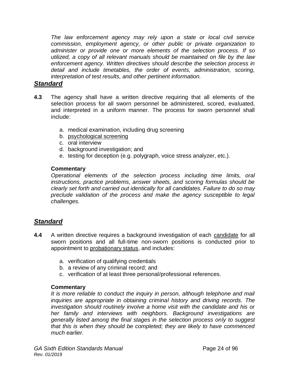*The law enforcement agency may rely upon a state or local civil service commission, employment agency, or other public or private organization to administer or provide one or more elements of the selection process. If so utilized, a copy of all relevant manuals should be maintained on file by the law enforcement agency. Written directives should describe the selection process in detail and include timetables, the order of events, administration, scoring, interpretation of test results, and other pertinent information.*

### *Standard*

- **4.3** The agency shall have a written directive requiring that all elements of the selection process for all sworn personnel be administered, scored, evaluated, and interpreted in a uniform manner. The process for sworn personnel shall include:
	- a. medical examination, including drug screening
	- b. psychological screening
	- c. oral interview
	- d. background investigation; and
	- e. testing for deception (e.g. polygraph, voice stress analyzer, etc.).

#### **Commentary**

*Operational elements of the selection process including time limits, oral instructions, practice problems, answer sheets, and scoring formulas should be clearly set forth and carried out identically for all candidates. Failure to do so may preclude validation of the process and make the agency susceptible to legal challenges.*

## *Standard*

- **4.4** A written directive requires a background investigation of each candidate for all sworn positions and all full-time non-sworn positions is conducted prior to appointment to probationary status, and includes:
	- a. verification of qualifying credentials
	- b. a review of any criminal record; and
	- c. verification of at least three personal/professional references.

#### **Commentary**

*It is more reliable to conduct the inquiry in person, although telephone and mail inquiries are appropriate in obtaining criminal history and driving records. The investigation should routinely involve a home visit with the candidate and his or her family and interviews with neighbors. Background investigations are generally listed among the final stages in the selection process only to suggest that this is when they should be completed; they are likely to have commenced much earlier.*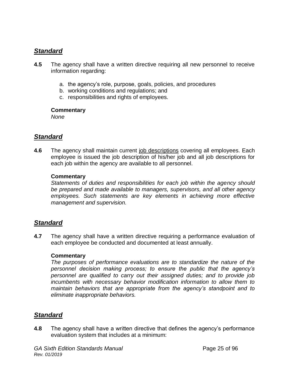## *Standard*

- **4.5** The agency shall have a written directive requiring all new personnel to receive information regarding:
	- a. the agency's role, purpose, goals, policies, and procedures
	- b. working conditions and regulations; and
	- c. responsibilities and rights of employees.

#### **Commentary**

*None*

## *Standard*

**4.6** The agency shall maintain current job descriptions covering all employees. Each employee is issued the job description of his/her job and all job descriptions for each job within the agency are available to all personnel.

#### **Commentary**

*Statements of duties and responsibilities for each job within the agency should be prepared and made available to managers, supervisors, and all other agency employees. Such statements are key elements in achieving more effective management and supervision.*

## *Standard*

**4.7** The agency shall have a written directive requiring a performance evaluation of each employee be conducted and documented at least annually.

#### **Commentary**

*The purposes of performance evaluations are to standardize the nature of the personnel decision making process; to ensure the public that the agency's personnel are qualified to carry out their assigned duties; and to provide job incumbents with necessary behavior modification information to allow them to maintain behaviors that are appropriate from the agency's standpoint and to eliminate inappropriate behaviors.*

## *Standard*

**4.8** The agency shall have a written directive that defines the agency's performance evaluation system that includes at a minimum: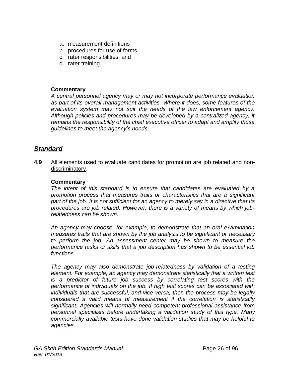- a. measurement definitions
- b. procedures for use of forms
- c. rater responsibilities; and
- d. rater training.

#### **Commentary**

*A central personnel agency may or may not incorporate performance evaluation as part of its overall management activities. Where it does, some features of the evaluation system may not suit the needs of the law enforcement agency. Although policies and procedures may be developed by a centralized agency, it remains the responsibility of the chief executive officer to adapt and amplify those guidelines to meet the agency's needs.*

## *Standard*

**4.9** All elements used to evaluate candidates for promotion are job related and nondiscriminatory.

#### **Commentary**

*The intent of this standard is to ensure that candidates are evaluated by a promotion process that measures traits or characteristics that are a significant part of the job. It is not sufficient for an agency to merely say in a directive that its procedures are job related. However, there is a variety of means by which jobrelatedness can be shown.*

*An agency may choose, for example, to demonstrate that an oral examination measures traits that are shown by the job analysis to be significant or necessary to perform the job. An assessment center may be shown to measure the performance tasks or skills that a job description has shown to be essential job functions.*

*The agency may also demonstrate job-relatedness by validation of a testing element. For example, an agency may demonstrate statistically that a written test is a predictor of future job success by correlating test scores with the performance of individuals on the job. If high test scores can be associated with individuals that are successful, and vice versa, then the process may be legally considered a valid means of measurement if the correlation is statistically significant. Agencies will normally need competent professional assistance from personnel specialists before undertaking a validation study of this type. Many commercially available tests have done validation studies that may be helpful to agencies.*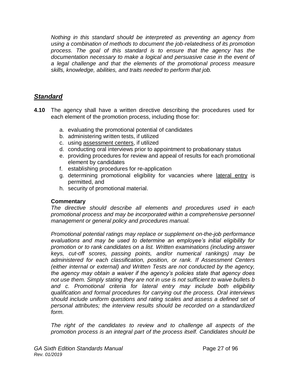*Nothing in this standard should be interpreted as preventing an agency from using a combination of methods to document the job-relatedness of its promotion process. The goal of this standard is to ensure that the agency has the documentation necessary to make a logical and persuasive case in the event of a legal challenge and that the elements of the promotional process measure skills, knowledge, abilities, and traits needed to perform that job.*

## *Standard*

- **4.10** The agency shall have a written directive describing the procedures used for each element of the promotion process, including those for:
	- a. evaluating the promotional potential of candidates
	- b. administering written tests, if utilized
	- c. using assessment centers, if utilized
	- d. conducting oral interviews prior to appointment to probationary status
	- e. providing procedures for review and appeal of results for each promotional element by candidates
	- f. establishing procedures for re-application
	- g. determining promotional eligibility for vacancies where lateral entry is permitted, and
	- h. security of promotional material.

#### **Commentary**

*The directive should describe all elements and procedures used in each promotional process and may be incorporated within a comprehensive personnel management or general policy and procedures manual.* 

*Promotional potential ratings may replace or supplement on-the-job performance evaluations and may be used to determine an employee's initial eligibility for promotion or to rank candidates on a list. Written examinations (including answer keys, cut-off scores, passing points, and/or numerical rankings) may be administered for each classification, position, or rank. If Assessment Centers (either internal or external) and Written Tests are not conducted by the agency, the agency may obtain a waiver if the agency's policies state that agency does not use them. Simply stating they are not in use is not sufficient to waive bullets b and c. Promotional criteria for lateral entry may include both eligibility qualification and formal procedures for carrying out the process. Oral interviews should include uniform questions and rating scales and assess a defined set of personal attributes; the interview results should be recorded on a standardized form.* 

*The right of the candidates to review and to challenge all aspects of the promotion process is an integral part of the process itself. Candidates should be*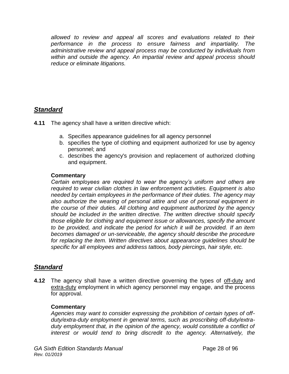*allowed to review and appeal all scores and evaluations related to their performance in the process to ensure fairness and impartiality. The administrative review and appeal process may be conducted by individuals from within and outside the agency. An impartial review and appeal process should reduce or eliminate litigations.* 

## *Standard*

**4.11** The agency shall have a written directive which:

- a. Specifies appearance guidelines for all agency personnel
- b. specifies the type of clothing and equipment authorized for use by agency personnel; and
- c. describes the agency's provision and replacement of authorized clothing and equipment.

#### **Commentary**

*Certain employees are required to wear the agency's uniform and others are required to wear civilian clothes in law enforcement activities. Equipment is also needed by certain employees in the performance of their duties. The agency may also authorize the wearing of personal attire and use of personal equipment in the course of their duties. All clothing and equipment authorized by the agency should be included in the written directive. The written directive should specify those eligible for clothing and equipment issue or allowances, specify the amount to be provided, and indicate the period for which it will be provided. If an item becomes damaged or un-serviceable, the agency should describe the procedure for replacing the item. Written directives about appearance guidelines should be specific for all employees and address tattoos, body piercings, hair style, etc.*

## *Standard*

**4.12** The agency shall have a written directive governing the types of off-duty and extra-duty employment in which agency personnel may engage, and the process for approval.

#### **Commentary**

*Agencies may want to consider expressing the prohibition of certain types of offduty/extra-duty employment in general terms, such as proscribing off-duty/extraduty employment that, in the opinion of the agency, would constitute a conflict of*  interest or would tend to bring discredit to the agency. Alternatively, the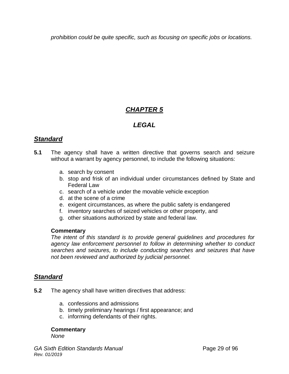*prohibition could be quite specific, such as focusing on specific jobs or locations.*

# *CHAPTER 5*

## *LEGAL*

## *Standard*

- **5.1** The agency shall have a written directive that governs search and seizure without a warrant by agency personnel, to include the following situations:
	- a. search by consent
	- b. stop and frisk of an individual under circumstances defined by State and Federal Law
	- c. search of a vehicle under the movable vehicle exception
	- d. at the scene of a crime
	- e. exigent circumstances, as where the public safety is endangered
	- f. inventory searches of seized vehicles or other property, and
	- g. other situations authorized by state and federal law.

#### **Commentary**

*The intent of this standard is to provide general guidelines and procedures for agency law enforcement personnel to follow in determining whether to conduct searches and seizures, to include conducting searches and seizures that have not been reviewed and authorized by judicial personnel.*

## *Standard*

- **5.2** The agency shall have written directives that address:
	- a. confessions and admissions
	- b. timely preliminary hearings / first appearance; and
	- c. informing defendants of their rights.

#### **Commentary**

*None*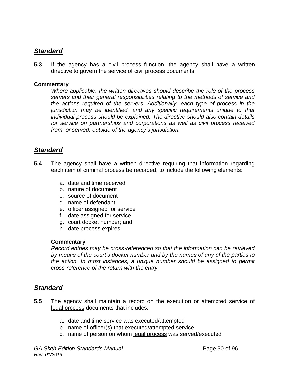## *Standard*

**5.3** If the agency has a civil process function, the agency shall have a written directive to govern the service of civil process documents.

#### **Commentary**

*Where applicable, the written directives should describe the role of the process servers and their general responsibilities relating to the methods of service and the actions required of the servers. Additionally, each type of process in the jurisdiction may be identified, and any specific requirements unique to that individual process should be explained. The directive should also contain details for service on partnerships and corporations as well as civil process received from, or served, outside of the agency's jurisdiction.*

## *Standard*

- **5.4** The agency shall have a written directive requiring that information regarding each item of criminal process be recorded, to include the following elements:
	- a. date and time received
	- b. nature of document
	- c. source of document
	- d. name of defendant
	- e. officer assigned for service
	- f. date assigned for service
	- g. court docket number; and
	- h. date process expires.

#### **Commentary**

*Record entries may be cross-referenced so that the information can be retrieved by means of the court's docket number and by the names of any of the parties to the action. In most instances, a unique number should be assigned to permit cross-reference of the return with the entry.*

- **5.5** The agency shall maintain a record on the execution or attempted service of legal process documents that includes:
	- a. date and time service was executed/attempted
	- b. name of officer(s) that executed/attempted service
	- c. name of person on whom legal process was served/executed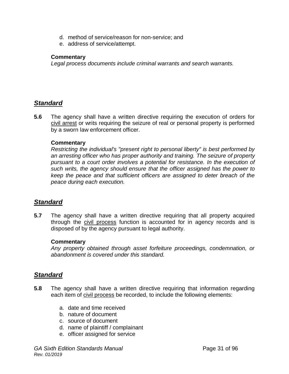- d. method of service/reason for non-service; and
- e. address of service/attempt.

#### **Commentary**

*Legal process documents include criminal warrants and search warrants.*

## *Standard*

**5.6** The agency shall have a written directive requiring the execution of orders for civil arrest or writs requiring the seizure of real or personal property is performed by a sworn law enforcement officer.

#### **Commentary**

*Restricting the individual's "present right to personal liberty" is best performed by an arresting officer who has proper authority and training. The seizure of property pursuant to a court order involves a potential for resistance. In the execution of such writs, the agency should ensure that the officer assigned has the power to keep the peace and that sufficient officers are assigned to deter breach of the peace during each execution.*

## *Standard*

**5.7** The agency shall have a written directive requiring that all property acquired through the civil process function is accounted for in agency records and is disposed of by the agency pursuant to legal authority.

#### **Commentary**

*Any property obtained through asset forfeiture proceedings, condemnation, or abandonment is covered under this standard.*

- **5.8** The agency shall have a written directive requiring that information regarding each item of civil process be recorded, to include the following elements:
	- a. date and time received
	- b. nature of document
	- c. source of document
	- d. name of plaintiff / complainant
	- e. officer assigned for service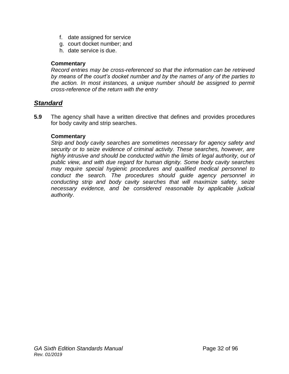- f. date assigned for service
- g. court docket number; and
- h. date service is due.

#### **Commentary**

*Record entries may be cross-referenced so that the information can be retrieved by means of the court's docket number and by the names of any of the parties to*  the action. In most instances, a unique number should be assigned to permit *cross-reference of the return with the entry*

## *Standard*

**5.9** The agency shall have a written directive that defines and provides procedures for body cavity and strip searches.

#### **Commentary**

*Strip and body cavity searches are sometimes necessary for agency safety and security or to seize evidence of criminal activity. These searches, however, are highly intrusive and should be conducted within the limits of legal authority, out of public view, and with due regard for human dignity. Some body cavity searches may require special hygienic procedures and qualified medical personnel to conduct the search. The procedures should guide agency personnel in conducting strip and body cavity searches that will maximize safety, seize necessary evidence, and be considered reasonable by applicable judicial authority*.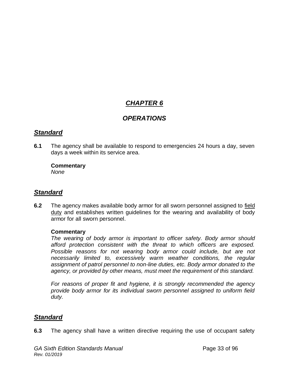# *CHAPTER 6*

## *OPERATIONS*

## *Standard*

**6.1** The agency shall be available to respond to emergencies 24 hours a day, seven days a week within its service area.

#### **Commentary**

*None*

## *Standard*

**6.2** The agency makes available body armor for all sworn personnel assigned to field duty and establishes written guidelines for the wearing and availability of body armor for all sworn personnel.

#### **Commentary**

*The wearing of body armor is important to officer safety. Body armor should afford protection consistent with the threat to which officers are exposed. Possible reasons for not wearing body armor could include, but are not necessarily limited to, excessively warm weather conditions, the regular assignment of patrol personnel to non-line duties, etc. Body armor donated to the agency, or provided by other means, must meet the requirement of this standard.*

*For reasons of proper fit and hygiene, it is strongly recommended the agency provide body armor for its individual sworn personnel assigned to uniform field duty.*

## *Standard*

**6.3** The agency shall have a written directive requiring the use of occupant safety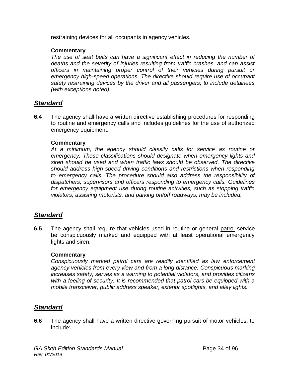restraining devices for all occupants in agency vehicles.

#### **Commentary**

The use of seat belts can have a significant effect in reducing the number of *deaths and the severity of injuries resulting from traffic crashes, and can assist officers in maintaining proper control of their vehicles during pursuit or emergency high-speed operations. The directive should require use of occupant safety restraining devices by the driver and all passengers, to include detainees (with exceptions noted).*

## *Standard*

**6.4** The agency shall have a written directive establishing procedures for responding to routine and emergency calls and includes guidelines for the use of authorized emergency equipment.

#### **Commentary**

*At a minimum, the agency should classify calls for service as routine or emergency. These classifications should designate when emergency lights and siren should be used and when traffic laws should be observed. The directive should address high-speed driving conditions and restrictions when responding to emergency calls. The procedure should also address the responsibility of dispatchers, supervisors and officers responding to emergency calls. Guidelines for emergency equipment use during routine activities, such as stopping traffic violators, assisting motorists, and parking on/off roadways, may be included.*

## *Standard*

**6.5** The agency shall require that vehicles used in routine or general patrol service be conspicuously marked and equipped with at least operational emergency lights and siren.

#### **Commentary**

*Conspicuously marked patrol cars are readily identified as law enforcement agency vehicles from every view and from a long distance. Conspicuous marking increases safety, serves as a warning to potential violators, and provides citizens*  with a feeling of security. It is recommended that patrol cars be equipped with a *mobile transceiver, public address speaker, exterior spotlights, and alley lights.*

## *Standard*

**6.6** The agency shall have a written directive governing pursuit of motor vehicles, to include: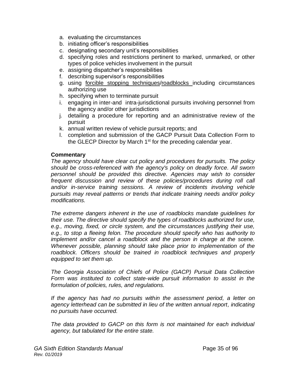- a. evaluating the circumstances
- b. initiating officer's responsibilities
- c. designating secondary unit's responsibilities
- d. specifying roles and restrictions pertinent to marked, unmarked, or other types of police vehicles involvement in the pursuit
- e. assigning dispatcher's responsibilities
- f. describing supervisor's responsibilities
- g. using forcible stopping techniques/roadblocks including circumstances authorizing use
- h. specifying when to terminate pursuit
- i. engaging in inter-and intra-jurisdictional pursuits involving personnel from the agency and/or other jurisdictions
- j. detailing a procedure for reporting and an administrative review of the pursuit
- k. annual written review of vehicle pursuit reports; and
- l. completion and submission of the GACP Pursuit Data Collection Form to the GLECP Director by March  $1<sup>st</sup>$  for the preceding calendar year.

#### **Commentary**

*The agency should have clear cut policy and procedures for pursuits. The policy should be cross-referenced with the agency's policy on deadly force. All sworn personnel should be provided this directive. Agencies may wish to consider frequent discussion and review of these policies/procedures during roll call and/or in-service training sessions. A review of incidents involving vehicle pursuits may reveal patterns or trends that indicate training needs and/or policy modifications.*

*The extreme dangers inherent in the use of roadblocks mandate guidelines for their use. The directive should specify the types of roadblocks authorized for use, e.g., moving, fixed, or circle system, and the circumstances justifying their use, e.g., to stop a fleeing felon. The procedure should specify who has authority to implement and/or cancel a roadblock and the person in charge at the scene. Whenever possible, planning should take place prior to implementation of the roadblock. Officers should be trained in roadblock techniques and properly equipped to set them up.* 

*The Georgia Association of Chiefs of Police (GACP) Pursuit Data Collection Form was instituted to collect state-wide pursuit information to assist in the formulation of policies, rules, and regulations.* 

*If the agency has had no pursuits within the assessment period, a letter on agency letterhead can be submitted in lieu of the written annual report, indicating no pursuits have occurred.*

*The data provided to GACP on this form is not maintained for each individual agency, but tabulated for the entire state.*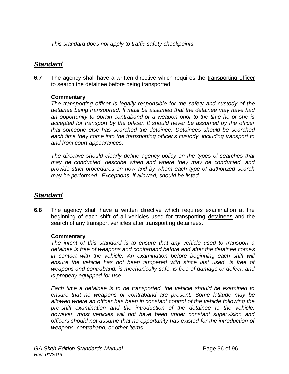*This standard does not apply to traffic safety checkpoints.*

## *Standard*

**6.7** The agency shall have a written directive which requires the transporting officer to search the detainee before being transported.

#### **Commentary**

*The transporting officer is legally responsible for the safety and custody of the detainee being transported. It must be assumed that the detainee may have had an opportunity to obtain contraband or a weapon prior to the time he or she is accepted for transport by the officer. It should never be assumed by the officer that someone else has searched the detainee. Detainees should be searched each time they come into the transporting officer's custody, including transport to and from court appearances.*

*The directive should clearly define agency policy on the types of searches that may be conducted, describe when and where they may be conducted, and provide strict procedures on how and by whom each type of authorized search may be performed. Exceptions, if allowed, should be listed.* 

## *Standard*

**6.8** The agency shall have a written directive which requires examination at the beginning of each shift of all vehicles used for transporting detainees and the search of any transport vehicles after transporting detainees.

#### **Commentary**

*The intent of this standard is to ensure that any vehicle used to transport a detainee is free of weapons and contraband before and after the detainee comes in contact with the vehicle. An examination before beginning each shift will ensure the vehicle has not been tampered with since last used, is free of weapons and contraband, is mechanically safe, is free of damage or defect, and is properly equipped for use.*

*Each time a detainee is to be transported, the vehicle should be examined to ensure that no weapons or contraband are present. Some latitude may be allowed where an officer has been in constant control of the vehicle following the pre-shift examination and the introduction of the detainee to the vehicle; however, most vehicles will not have been under constant supervision and officers should not assume that no opportunity has existed for the introduction of weapons, contraband, or other items.*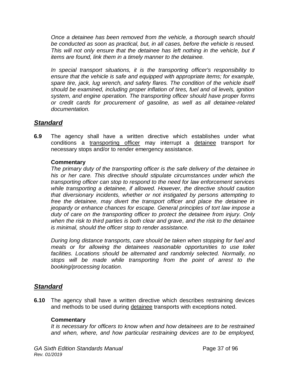*Once a detainee has been removed from the vehicle, a thorough search should be conducted as soon as practical, but, in all cases, before the vehicle is reused. This will not only ensure that the detainee has left nothing in the vehicle, but if items are found, link them in a timely manner to the detainee.*

*In special transport situations, it is the transporting officer's responsibility to ensure that the vehicle is safe and equipped with appropriate items; for example, spare tire, jack, lug wrench, and safety flares. The condition of the vehicle itself should be examined, including proper inflation of tires, fuel and oil levels, ignition system, and engine operation. The transporting officer should have proper forms or credit cards for procurement of gasoline, as well as all detainee-related documentation.*

## *Standard*

**6.9** The agency shall have a written directive which establishes under what conditions a transporting officer may interrupt a detainee transport for necessary stops and/or to render emergency assistance.

#### **Commentary**

*The primary duty of the transporting officer is the safe delivery of the detainee in his or her care. This directive should stipulate circumstances under which the transporting officer can stop to respond to the need for law enforcement services while transporting a detainee, if allowed. However, the directive should caution that diversionary incidents, whether or not instigated by persons attempting to free the detainee, may divert the transport officer and place the detainee in jeopardy or enhance chances for escape. General principles of tort law impose a duty of care on the transporting officer to protect the detainee from injury. Only when the risk to third parties is both clear and grave, and the risk to the detainee is minimal, should the officer stop to render assistance.*

*During long distance transports, care should be taken when stopping for fuel and meals or for allowing the detainees reasonable opportunities to use toilet facilities. Locations should be alternated and randomly selected. Normally, no stops will be made while transporting from the point of arrest to the booking/processing location.*

## *Standard*

**6.10** The agency shall have a written directive which describes restraining devices and methods to be used during detainee transports with exceptions noted.

#### **Commentary**

*It is necessary for officers to know when and how detainees are to be restrained and when, where, and how particular restraining devices are to be employed,*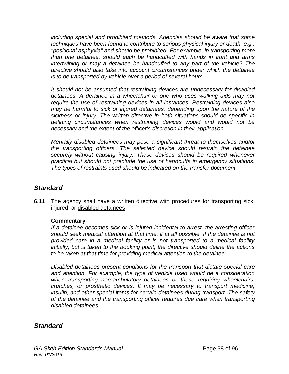*including special and prohibited methods. Agencies should be aware that some techniques have been found to contribute to serious physical injury or death, e.g., "positional asphyxia" and should be prohibited. For example, in transporting more than one detainee, should each be handcuffed with hands in front and arms intertwining or may a detainee be handcuffed to any part of the vehicle? The directive should also take into account circumstances under which the detainee is to be transported by vehicle over a period of several hours.*

*It should not be assumed that restraining devices are unnecessary for disabled detainees. A detainee in a wheelchair or one who uses walking aids may not require the use of restraining devices in all instances. Restraining devices also may be harmful to sick or injured detainees, depending upon the nature of the sickness or injury. The written directive in both situations should be specific in defining circumstances when restraining devices would and would not be necessary and the extent of the officer's discretion in their application.*

*Mentally disabled detainees may pose a significant threat to themselves and/or the transporting officers. The selected device should restrain the detainee securely without causing injury. These devices should be required whenever practical but should not preclude the use of handcuffs in emergency situations. The types of restraints used should be indicated on the transfer document.*

## *Standard*

**6.11** The agency shall have a written directive with procedures for transporting sick, injured, or disabled detainees.

#### **Commentary**

*If a detainee becomes sick or is injured incidental to arrest, the arresting officer should seek medical attention at that time, if at all possible. If the detainee is not provided care in a medical facility or is not transported to a medical facility initially, but is taken to the booking point, the directive should define the actions to be taken at that time for providing medical attention to the detainee.* 

*Disabled detainees present conditions for the transport that dictate special care and attention. For example, the type of vehicle used would be a consideration when transporting non-ambulatory detainees or those requiring wheelchairs, crutches, or prosthetic devices. It may be necessary to transport medicine, insulin, and other special items for certain detainees during transport. The safety of the detainee and the transporting officer requires due care when transporting disabled detainees.*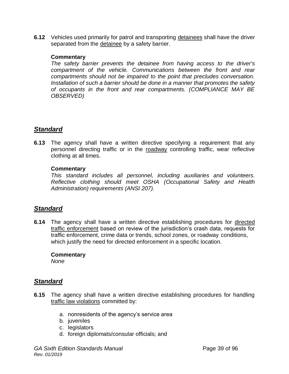**6.12** Vehicles used primarily for patrol and transporting detainees shall have the driver separated from the detainee by a safety barrier.

#### **Commentary**

*The safety barrier prevents the detainee from having access to the driver's compartment of the vehicle. Communications between the front and rear compartments should not be impaired to the point that precludes conversation. Installation of such a barrier should be done in a manner that promotes the safety of occupants in the front and rear compartments. (COMPLIANCE MAY BE OBSERVED)*

## *Standard*

**6.13** The agency shall have a written directive specifying a requirement that any personnel directing traffic or in the roadway controlling traffic, wear reflective clothing at all times.

#### **Commentary**

*This standard includes all personnel, including auxiliaries and volunteers. Reflective clothing should meet OSHA (Occupational Safety and Health Administration) requirements (ANSI 207).*

## *Standard*

**6.14** The agency shall have a written directive establishing procedures for directed traffic enforcement based on review of the jurisdiction's crash data, requests for traffic enforcement, crime data or trends, school zones, or roadway conditions, which justify the need for directed enforcement in a specific location.

#### **Commentary**

*None*

- **6.15** The agency shall have a written directive establishing procedures for handling traffic law violations committed by:
	- a. nonresidents of the agency's service area
	- b. juveniles
	- c. legislators
	- d. foreign diplomats/consular officials; and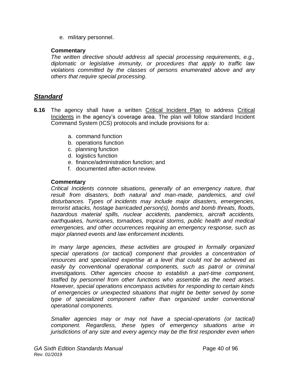e. military personnel.

#### **Commentary**

*The written directive should address all special processing requirements, e.g., diplomatic or legislative immunity, or procedures that apply to traffic law violations committed by the classes of persons enumerated above and any others that require special processing.*

## *Standard*

- **6.16** The agency shall have a written Critical Incident Plan to address Critical Incidents in the agency's coverage area. The plan will follow standard Incident Command System (ICS) protocols and include provisions for a:
	- a. command function
	- b. operations function
	- c. planning function
	- d. logistics function
	- e. finance/administration function; and
	- f. documented after-action review.

#### **Commentary**

*Critical Incidents connote situations, generally of an emergency nature, that result from disasters, both natural and man-made, pandemics, and civil disturbances. Types of incidents may include major disasters, emergencies, terrorist attacks, hostage barricaded person(s), bombs and bomb threats, floods, hazardous material spills, nuclear accidents, pandemics, aircraft accidents, earthquakes, hurricanes, tornadoes, tropical storms, public health and medical emergencies, and other occurrences requiring an emergency response, such as major planned events and law enforcement incidents.*

*In many large agencies, these activities are grouped in formally organized special operations (or tactical) component that provides a concentration of resources and specialized expertise at a level that could not be achieved as easily by conventional operational components, such as patrol or criminal investigations. Other agencies choose to establish a part-time component, staffed by personnel from other functions who assemble as the need arises. However, special operations encompass activities for responding to certain kinds of emergencies or unexpected situations that might be better served by some type of specialized component rather than organized under conventional operational components.*

*Smaller agencies may or may not have a special-operations (or tactical) component. Regardless, these types of emergency situations arise in jurisdictions of any size and every agency may be the first responder even when*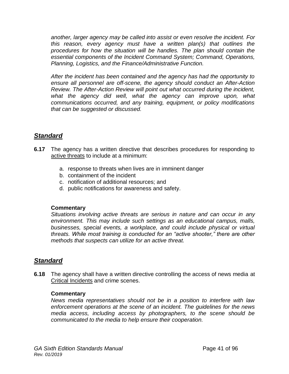*another, larger agency may be called into assist or even resolve the incident. For this reason, every agency must have a written plan(s) that outlines the procedures for how the situation will be handles. The plan should contain the essential components of the Incident Command System; Command, Operations, Planning, Logistics, and the Finance/Administrative Function.* 

*After the incident has been contained and the agency has had the opportunity to ensure all personnel are off-scene, the agency should conduct an After-Action Review. The After-Action Review will point out what occurred during the incident, what the agency did well, what the agency can improve upon, what communications occurred, and any training, equipment, or policy modifications that can be suggested or discussed.* 

## *Standard*

- **6.17** The agency has a written directive that describes procedures for responding to active threats to include at a minimum:
	- a. response to threats when lives are in imminent danger
	- b. containment of the incident
	- c. notification of additional resources; and
	- d. public notifications for awareness and safety.

#### **Commentary**

*Situations involving active threats are serious in nature and can occur in any environment. This may include such settings as an educational campus, malls, businesses, special events, a workplace, and could include physical or virtual threats. While most training is conducted for an "active shooter," there are other methods that suspects can utilize for an active threat.*

## *Standard*

**6.18** The agency shall have a written directive controlling the access of news media at Critical Incidents and crime scenes.

#### **Commentary**

*News media representatives should not be in a position to interfere with law enforcement operations at the scene of an incident. The guidelines for the news media access, including access by photographers, to the scene should be communicated to the media to help ensure their cooperation.*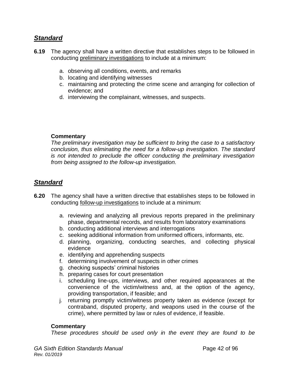## *Standard*

- **6.19** The agency shall have a written directive that establishes steps to be followed in conducting preliminary investigations to include at a minimum:
	- a. observing all conditions, events, and remarks
	- b. locating and identifying witnesses
	- c. maintaining and protecting the crime scene and arranging for collection of evidence; and
	- d. interviewing the complainant, witnesses, and suspects.

#### **Commentary**

*The preliminary investigation may be sufficient to bring the case to a satisfactory conclusion, thus eliminating the need for a follow-up investigation. The standard is not intended to preclude the officer conducting the preliminary investigation from being assigned to the follow-up investigation.*

## *Standard*

- **6.20** The agency shall have a written directive that establishes steps to be followed in conducting follow-up investigations to include at a minimum:
	- a. reviewing and analyzing all previous reports prepared in the preliminary phase, departmental records, and results from laboratory examinations
	- b. conducting additional interviews and interrogations
	- c. seeking additional information from uniformed officers, informants, etc.
	- d. planning, organizing, conducting searches, and collecting physical evidence
	- e. identifying and apprehending suspects
	- f. determining involvement of suspects in other crimes
	- g. checking suspects' criminal histories
	- h. preparing cases for court presentation
	- i. scheduling line-ups, interviews, and other required appearances at the convenience of the victim/witness and, at the option of the agency, providing transportation, if feasible; and
	- j. returning promptly victim/witness property taken as evidence (except for contraband, disputed property, and weapons used in the course of the crime), where permitted by law or rules of evidence, if feasible.

#### **Commentary**

*These procedures should be used only in the event they are found to be*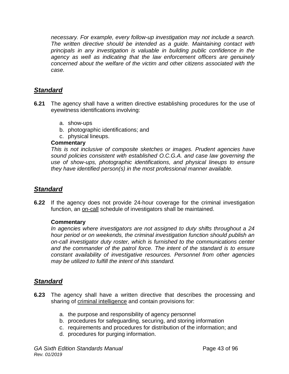*necessary. For example, every follow-up investigation may not include a search. The written directive should be intended as a guide. Maintaining contact with principals in any investigation is valuable in building public confidence in the agency as well as indicating that the law enforcement officers are genuinely concerned about the welfare of the victim and other citizens associated with the case.*

## *Standard*

- **6.21** The agency shall have a written directive establishing procedures for the use of eyewitness identifications involving:
	- a. show-ups
	- b. photographic identifications; and
	- c. physical lineups.

#### **Commentary**

*This is not inclusive of composite sketches or images. Prudent agencies have sound policies consistent with established O.C.G.A. and case law governing the use of show-ups, photographic identifications, and physical lineups to ensure they have identified person(s) in the most professional manner available.* 

## *Standard*

**6.22** If the agency does not provide 24-hour coverage for the criminal investigation function, an on-call schedule of investigators shall be maintained.

#### **Commentary**

*In agencies where investigators are not assigned to duty shifts throughout a 24 hour period or on weekends, the criminal investigation function should publish an on-call investigator duty roster, which is furnished to the communications center and the commander of the patrol force. The intent of the standard is to ensure constant availability of investigative resources. Personnel from other agencies may be utilized to fulfill the intent of this standard.*

- **6.23** The agency shall have a written directive that describes the processing and sharing of criminal intelligence and contain provisions for:
	- a. the purpose and responsibility of agency personnel
	- b. procedures for safeguarding, securing, and storing information
	- c. requirements and procedures for distribution of the information; and
	- d. procedures for purging information.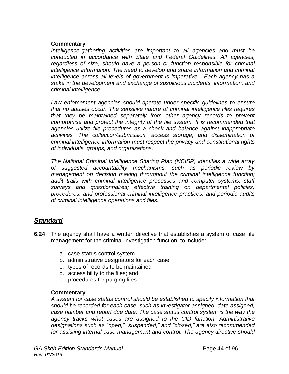*Intelligence-gathering activities are important to all agencies and must be conducted in accordance with State and Federal Guidelines. All agencies, regardless of size, should have a person or function responsible for criminal intelligence information. The need to develop and share information and criminal intelligence across all levels of government is imperative. Each agency has a stake in the development and exchange of suspicious incidents, information, and criminal intelligence.* 

Law enforcement agencies should operate under specific quidelines to ensure *that no abuses occur. The sensitive nature of criminal intelligence files requires that they be maintained separately from other agency records to prevent compromise and protect the integrity of the file system. It is recommended that agencies utilize file procedures as a check and balance against inappropriate activities. The collection/submission, access storage, and dissemination of criminal intelligence information must respect the privacy and constitutional rights of individuals, groups, and organizations.* 

*The National Criminal Intelligence Sharing Plan (NCISP) identifies a wide array of suggested accountability mechanisms, such as periodic review by management on decision making throughout the criminal intelligence function; audit trails with criminal intelligence processes and computer systems; staff surveys and questionnaires; effective training on departmental policies, procedures, and professional criminal intelligence practices; and periodic audits of criminal intelligence operations and files.* 

## *Standard*

- **6.24** The agency shall have a written directive that establishes a system of case file management for the criminal investigation function, to include:
	- a. case status control system
	- b. administrative designators for each case
	- c. types of records to be maintained
	- d. accessibility to the files; and
	- e. procedures for purging files.

#### **Commentary**

*A system for case status control should be established to specify information that should be recorded for each case, such as investigator assigned, date assigned, case number and report due date. The case status control system is the way the agency tracks what cases are assigned to the CID function. Administrative designations such as "open," "suspended," and "closed," are also recommended for assisting internal case management and control. The agency directive should*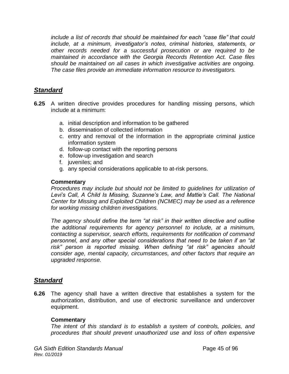*include a list of records that should be maintained for each "case file" that could include, at a minimum, investigator's notes, criminal histories, statements, or other records needed for a successful prosecution or are required to be maintained in accordance with the Georgia Records Retention Act. Case files should be maintained on all cases in which investigative activities are ongoing. The case files provide an immediate information resource to investigators.*

## *Standard*

- **6.25** A written directive provides procedures for handling missing persons, which include at a minimum:
	- a. initial description and information to be gathered
	- b. dissemination of collected information
	- c. entry and removal of the information in the appropriate criminal justice information system
	- d. follow-up contact with the reporting persons
	- e. follow-up investigation and search
	- f. juveniles; and
	- g. any special considerations applicable to at-risk persons.

#### **Commentary**

*Procedures may include but should not be limited to guidelines for utilization of Levi's Call, A Child Is Missing, Suzanne's Law, and Mattie's Call. The National Center for Missing and Exploited Children (NCMEC) may be used as a reference for working missing children investigations.*

*The agency should define the term "at risk" in their written directive and outline the additional requirements for agency personnel to include, at a minimum, contacting a supervisor, search efforts, requirements for notification of command personnel, and any other special considerations that need to be taken if an "at risk" person is reported missing. When defining "at risk" agencies should consider age, mental capacity, circumstances, and other factors that require an upgraded response.* 

## *Standard*

**6.26** The agency shall have a written directive that establishes a system for the authorization, distribution, and use of electronic surveillance and undercover equipment.

#### **Commentary**

*The intent of this standard is to establish a system of controls, policies, and procedures that should prevent unauthorized use and loss of often expensive*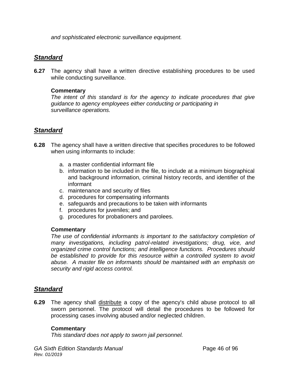*and sophisticated electronic surveillance equipment.*

## *Standard*

**6.27** The agency shall have a written directive establishing procedures to be used while conducting surveillance.

#### **Commentary**

*The intent of this standard is for the agency to indicate procedures that give guidance to agency employees either conducting or participating in surveillance operations.* 

## *Standard*

- **6.28** The agency shall have a written directive that specifies procedures to be followed when using informants to include:
	- a. a master confidential informant file
	- b. information to be included in the file, to include at a minimum biographical and background information, criminal history records, and identifier of the informant
	- c. maintenance and security of files
	- d. procedures for compensating informants
	- e. safeguards and precautions to be taken with informants
	- f. procedures for juveniles; and
	- g. procedures for probationers and parolees.

#### **Commentary**

*The use of confidential informants is important to the satisfactory completion of many investigations, including patrol-related investigations; drug, vice, and organized crime control functions; and intelligence functions. Procedures should be established to provide for this resource within a controlled system to avoid abuse. A master file on informants should be maintained with an emphasis on security and rigid access control.*

## *Standard*

**6.29** The agency shall distribute a copy of the agency's child abuse protocol to all sworn personnel. The protocol will detail the procedures to be followed for processing cases involving abused and/or neglected children.

#### **Commentary**

*This standard does not apply to sworn jail personnel.*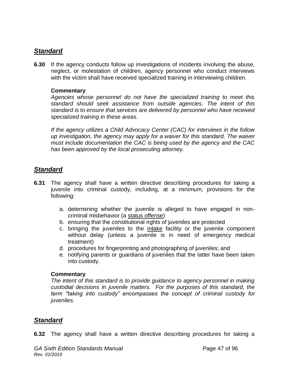## *Standard*

**6.30** If the agency conducts follow up investigations of incidents involving the abuse, neglect, or molestation of children, agency personnel who conduct interviews with the victim shall have received specialized training in interviewing children.

#### **Commentary**

*Agencies whose personnel do not have the specialized training to meet this standard should seek assistance from outside agencies. The intent of this standard is to ensure that services are delivered by personnel who have received specialized training in these areas.*

*If the agency utilizes a Child Advocacy Center (CAC) for interviews in the follow up investigation, the agency may apply for a waiver for this standard. The waiver must include documentation the CAC is being used by the agency and the CAC has been approved by the local prosecuting attorney.* 

## *Standard*

- **6.31** The agency shall have a written directive describing procedures for taking a juvenile into criminal custody, including, at a minimum, provisions for the following:
	- a. determining whether the juvenile is alleged to have engaged in noncriminal misbehavior (a status offense)
	- b. ensuring that the constitutional rights of juveniles are protected
	- c. bringing the juveniles to the intake facility or the juvenile component without delay (unless a juvenile is in need of emergency medical treatment)
	- d. procedures for fingerprinting and photographing of juveniles; and
	- e. notifying parents or guardians of juveniles that the latter have been taken into custody.

#### **Commentary**

*The intent of this standard is to provide guidance to agency personnel in making custodial decisions in juvenile matters. For the purposes of this standard, the term "taking into custody" encompasses the concept of criminal custody for juveniles.*

## *Standard*

**6.32** The agency shall have a written directive describing procedures for taking a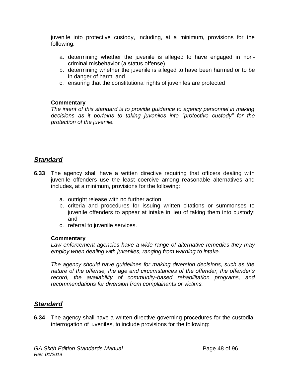juvenile into protective custody, including, at a minimum, provisions for the following:

- a. determining whether the juvenile is alleged to have engaged in noncriminal misbehavior (a status offense)
- b. determining whether the juvenile is alleged to have been harmed or to be in danger of harm; and
- c. ensuring that the constitutional rights of juveniles are protected

#### **Commentary**

*The intent of this standard is to provide guidance to agency personnel in making decisions as it pertains to taking juveniles into "protective custody" for the protection of the juvenile.*

## *Standard*

- **6.33** The agency shall have a written directive requiring that officers dealing with juvenile offenders use the least coercive among reasonable alternatives and includes, at a minimum, provisions for the following:
	- a. outright release with no further action
	- b. criteria and procedures for issuing written citations or summonses to juvenile offenders to appear at intake in lieu of taking them into custody; and
	- c. referral to juvenile services.

## **Commentary**

*Law enforcement agencies have a wide range of alternative remedies they may employ when dealing with juveniles, ranging from warning to intake.* 

*The agency should have guidelines for making diversion decisions, such as the nature of the offense, the age and circumstances of the offender, the offender's record, the availability of community-based rehabilitation programs, and recommendations for diversion from complainants or victims.* 

## *Standard*

**6.34** The agency shall have a written directive governing procedures for the custodial interrogation of juveniles, to include provisions for the following: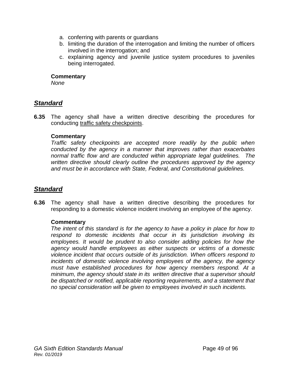- a. conferring with parents or guardians
- b. limiting the duration of the interrogation and limiting the number of officers involved in the interrogation; and
- c. explaining agency and juvenile justice system procedures to juveniles being interrogated.

*None*

## *Standard*

**6.35** The agency shall have a written directive describing the procedures for conducting traffic safety checkpoints.

#### **Commentary**

*Traffic safety checkpoints are accepted more readily by the public when conducted by the agency in a manner that improves rather than exacerbates normal traffic flow and are conducted within appropriate legal guidelines. The written directive should clearly outline the procedures approved by the agency and must be in accordance with State, Federal, and Constitutional guidelines.* 

## *Standard*

**6.36** The agency shall have a written directive describing the procedures for responding to a domestic violence incident involving an employee of the agency.

#### **Commentary**

*The intent of this standard is for the agency to have a policy in place for how to respond to domestic incidents that occur in its jurisdiction involving its employees. It would be prudent to also consider adding policies for how the agency would handle employees as either suspects or victims of a domestic violence incident that occurs outside of its jurisdiction. When officers respond to incidents of domestic violence involving employees of the agency, the agency must have established procedures for how agency members respond. At a minimum, the agency should state in its written directive that a supervisor should be dispatched or notified, applicable reporting requirements, and a statement that no special consideration will be given to employees involved in such incidents.*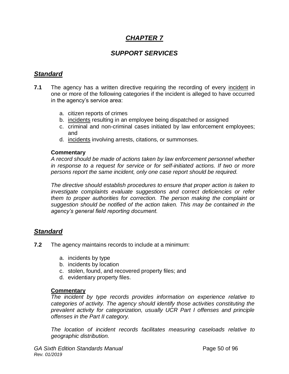## *CHAPTER 7*

## *SUPPORT SERVICES*

## *Standard*

- **7.1** The agency has a written directive requiring the recording of every incident in one or more of the following categories if the incident is alleged to have occurred in the agency's service area:
	- a. citizen reports of crimes
	- b. incidents resulting in an employee being dispatched or assigned
	- c. criminal and non-criminal cases initiated by law enforcement employees; and
	- d. incidents involving arrests, citations, or summonses.

#### **Commentary**

*A record should be made of actions taken by law enforcement personnel whether in response to a request for service or for self-initiated actions. If two or more persons report the same incident, only one case report should be required.*

*The directive should establish procedures to ensure that proper action is taken to investigate complaints evaluate suggestions and correct deficiencies or refer them to proper authorities for correction. The person making the complaint or suggestion should be notified of the action taken. This may be contained in the agency's general field reporting document.*

## *Standard*

- **7.2** The agency maintains records to include at a minimum:
	- a. incidents by type
	- b. incidents by location
	- c. stolen, found, and recovered property files; and
	- d. evidentiary property files.

#### **Commentary**

*The incident by type records provides information on experience relative to categories of activity. The agency should identify those activities constituting the prevalent activity for categorization, usually UCR Part I offenses and principle offenses in the Part II category.*

*The location of incident records facilitates measuring caseloads relative to geographic distribution.*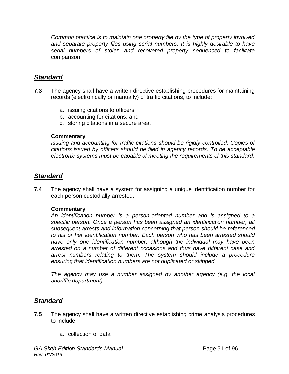*Common practice is to maintain one property file by the type of property involved*  and separate property files using serial numbers. It is highly desirable to have *serial numbers of stolen and recovered property sequenced to facilitate* comparison.

## *Standard*

- **7.3** The agency shall have a written directive establishing procedures for maintaining records (electronically or manually) of traffic citations, to include:
	- a. issuing citations to officers
	- b. accounting for citations; and
	- c. storing citations in a secure area.

#### **Commentary**

*Issuing and accounting for traffic citations should be rigidly controlled. Copies of citations issued by officers should be filed in agency records. To be acceptable electronic systems must be capable of meeting the requirements of this standard.*

## *Standard*

**7.4** The agency shall have a system for assigning a unique identification number for each person custodially arrested.

#### **Commentary**

*An identification number is a person-oriented number and is assigned to a specific person. Once a person has been assigned an identification number, all subsequent arrests and information concerning that person should be referenced to his or her identification number. Each person who has been arrested should have only one identification number, although the individual may have been arrested on a number of different occasions and thus have different case and arrest numbers relating to them. The system should include a procedure ensuring that identification numbers are not duplicated or skipped.*

*The agency may use a number assigned by another agency (e.g. the local sheriff's department).*

- **7.5** The agency shall have a written directive establishing crime analysis procedures to include:
	- a. collection of data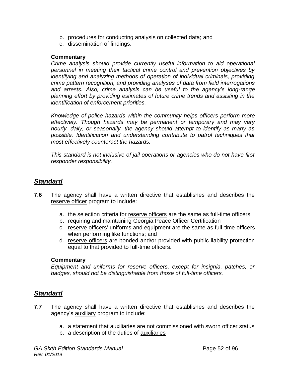- b. procedures for conducting analysis on collected data; and
- c. dissemination of findings.

*Crime analysis should provide currently useful information to aid operational personnel in meeting their tactical crime control and prevention objectives by identifying and analyzing methods of operation of individual criminals, providing crime pattern recognition, and providing analyses of data from field interrogations and arrests. Also, crime analysis can be useful to the agency's long-range planning effort by providing estimates of future crime trends and assisting in the identification of enforcement priorities.* 

*Knowledge of police hazards within the community helps officers perform more effectively. Though hazards may be permanent or temporary and may vary hourly, daily, or seasonally, the agency should attempt to identify as many as possible. Identification and understanding contribute to patrol techniques that most effectively counteract the hazards.*

*This standard is not inclusive of jail operations or agencies who do not have first responder responsibility.* 

## *Standard*

- **7.6** The agency shall have a written directive that establishes and describes the reserve officer program to include:
	- a. the selection criteria for reserve officers are the same as full-time officers
	- b. requiring and maintaining Georgia Peace Officer Certification
	- c. reserve officers' uniforms and equipment are the same as full-time officers when performing like functions; and
	- d. reserve officers are bonded and/or provided with public liability protection equal to that provided to full-time officers.

#### **Commentary**

*Equipment and uniforms for reserve officers, except for insignia, patches, or badges, should not be distinguishable from those of full-time officers.*

- **7.7** The agency shall have a written directive that establishes and describes the agency's auxiliary program to include:
	- a. a statement that auxiliaries are not commissioned with sworn officer status
	- b. a description of the duties of auxiliaries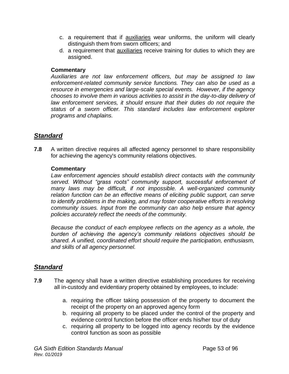- c. a requirement that if auxiliaries wear uniforms, the uniform will clearly distinguish them from sworn officers; and
- d. a requirement that auxiliaries receive training for duties to which they are assigned.

*Auxiliaries are not law enforcement officers, but may be assigned to law enforcement-related community service functions. They can also be used as a resource in emergencies and large-scale special events. However, if the agency chooses to involve them in various activities to assist in the day-to-day delivery of law enforcement services, it should ensure that their duties do not require the status of a sworn officer. This standard includes law enforcement explorer programs and chaplains.*

## *Standard*

**7.8** A written directive requires all affected agency personnel to share responsibility for achieving the agency's community relations objectives.

#### **Commentary**

*Law enforcement agencies should establish direct contacts with the community served. Without "grass roots" community support, successful enforcement of many laws may be difficult, if not impossible. A well-organized community relation function can be an effective means of eliciting public support, can serve to identify problems in the making, and may foster cooperative efforts in resolving community issues. Input from the community can also help ensure that agency policies accurately reflect the needs of the community.*

*Because the conduct of each employee reflects on the agency as a whole, the burden of achieving the agency's community relations objectives should be shared. A unified, coordinated effort should require the participation, enthusiasm, and skills of all agency personnel.*

- **7.9** The agency shall have a written directive establishing procedures for receiving all in-custody and evidentiary property obtained by employees, to include:
	- a. requiring the officer taking possession of the property to document the receipt of the property on an approved agency form
	- b. requiring all property to be placed under the control of the property and evidence control function before the officer ends his/her tour of duty
	- c. requiring all property to be logged into agency records by the evidence control function as soon as possible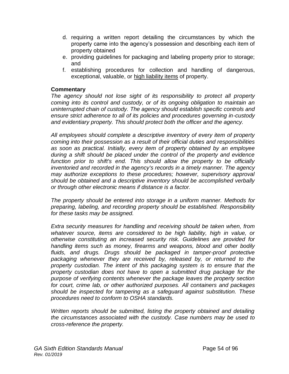- d. requiring a written report detailing the circumstances by which the property came into the agency's possession and describing each item of property obtained
- e. providing guidelines for packaging and labeling property prior to storage; and
- f. establishing procedures for collection and handling of dangerous, exceptional, valuable, or high liability items of property.

*The agency should not lose sight of its responsibility to protect all property coming into its control and custody, or of its ongoing obligation to maintain an uninterrupted chain of custody. The agency should establish specific controls and ensure strict adherence to all of its policies and procedures governing in-custody and evidentiary property. This should protect both the officer and the agency.*

*All employees should complete a descriptive inventory of every item of property coming into their possession as a result of their official duties and responsibilities as soon as practical. Initially, every item of property obtained by an employee during a shift should be placed under the control of the property and evidence function prior to shift's end. This should allow the property to be officially inventoried and recorded in the agency's records in a timely manner. The agency may authorize exceptions to these procedures; however, supervisory approval should be obtained and a descriptive inventory should be accomplished verbally or through other electronic means if distance is a factor.*

*The property should be entered into storage in a uniform manner. Methods for preparing, labeling, and recording property should be established. Responsibility for these tasks may be assigned.*

*Extra security measures for handling and receiving should be taken when, from*  whatever source, items are considered to be high liability, high in value, or *otherwise constituting an increased security risk. Guidelines are provided for handling items such as money, firearms and weapons, blood and other bodily fluids, and drugs. Drugs should be packaged in tamper-proof protective packaging whenever they are received by, released by, or returned to the property custodian. The intent of this packaging system is to ensure that the property custodian does not have to open a submitted drug package for the purpose of verifying contents whenever the package leaves the property section for court, crime lab, or other authorized purposes. All containers and packages should be inspected for tampering as a safeguard against substitution. These procedures need to conform to OSHA standards.*

*Written reports should be submitted, listing the property obtained and detailing the circumstances associated with the custody. Case numbers may be used to cross-reference the property.*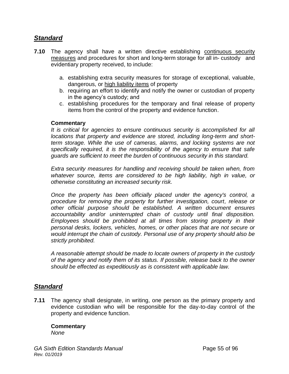## *Standard*

- **7.10** The agency shall have a written directive establishing continuous security measures and procedures for short and long-term storage for all in- custody and evidentiary property received, to include:
	- a. establishing extra security measures for storage of exceptional, valuable, dangerous, or high liability items of property
	- b. requiring an effort to identify and notify the owner or custodian of property in the agency's custody; and
	- c. establishing procedures for the temporary and final release of property items from the control of the property and evidence function.

#### **Commentary**

*It is critical for agencies to ensure continuous security is accomplished for all locations that property and evidence are stored, including long-term and shortterm storage. While the use of cameras, alarms, and locking systems are not specifically required, it is the responsibility of the agency to ensure that safe guards are sufficient to meet the burden of continuous security in this standard.* 

*Extra security measures for handling and receiving should be taken when, from whatever source, items are considered to be high liability, high in value, or otherwise constituting an increased security risk.*

*Once the property has been officially placed under the agency's control, a procedure for removing the property for further investigation, court, release or other official purpose should be established. A written document ensures accountability and/or uninterrupted chain of custody until final disposition. Employees should be prohibited at all times from storing property in their personal desks, lockers, vehicles, homes, or other places that are not secure or would interrupt the chain of custody. Personal use of any property should also be strictly prohibited.*

*A reasonable attempt should be made to locate owners of property in the custody of the agency and notify them of its status. If possible, release back to the owner should be effected as expeditiously as is consistent with applicable law.*

## *Standard*

**7.11** The agency shall designate, in writing, one person as the primary property and evidence custodian who will be responsible for the day-to-day control of the property and evidence function.

#### **Commentary** *None*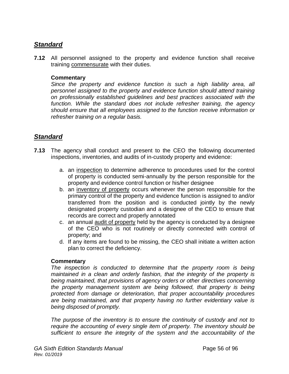## *Standard*

**7.12** All personnel assigned to the property and evidence function shall receive training commensurate with their duties.

#### **Commentary**

*Since the property and evidence function is such a high liability area, all personnel assigned to the property and evidence function should attend training on professionally established guidelines and best practices associated with the function. While the standard does not include refresher training, the agency should ensure that all employees assigned to the function receive information or refresher training on a regular basis.* 

## *Standard*

- **7.13** The agency shall conduct and present to the CEO the following documented inspections, inventories, and audits of in-custody property and evidence:
	- a. an inspection to determine adherence to procedures used for the control of property is conducted semi-annually by the person responsible for the property and evidence control function or his/her designee
	- b. an inventory of property occurs whenever the person responsible for the primary control of the property and evidence function is assigned to and/or transferred from the position and is conducted jointly by the newly designated property custodian and a designee of the CEO to ensure that records are correct and properly annotated
	- c. an annual audit of property held by the agency is conducted by a designee of the CEO who is not routinely or directly connected with control of property; and
	- d. If any items are found to be missing, the CEO shall initiate a written action plan to correct the deficiency.

#### **Commentary**

*The inspection is conducted to determine that the property room is being maintained in a clean and orderly fashion, that the integrity of the property is being maintained, that provisions of agency orders or other directives concerning the property management system are being followed, that property is being protected from damage or deterioration, that proper accountability procedures are being maintained, and that property having no further evidentiary value is being disposed of promptly.*

*The purpose of the inventory is to ensure the continuity of custody and not to require the accounting of every single item of property. The inventory should be sufficient to ensure the integrity of the system and the accountability of the*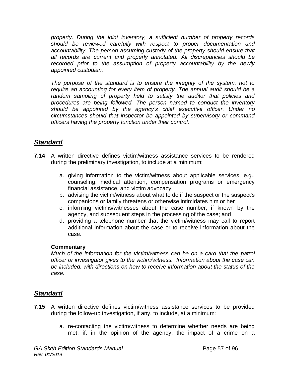*property. During the joint inventory, a sufficient number of property records should be reviewed carefully with respect to proper documentation and accountability. The person assuming custody of the property should ensure that all records are current and properly annotated. All discrepancies should be recorded prior to the assumption of property accountability by the newly appointed custodian.* 

The purpose of the standard is to ensure the integrity of the system, not to *require an accounting for every item of property. The annual audit should be a random sampling of property held to satisfy the auditor that policies and procedures are being followed. The person named to conduct the inventory should be appointed by the agency's chief executive officer. Under no circumstances should that inspector be appointed by supervisory or command officers having the property function under their control.*

## *Standard*

- **7.14** A written directive defines victim/witness assistance services to be rendered during the preliminary investigation, to include at a minimum:
	- a. giving information to the victim/witness about applicable services, e.g., counseling, medical attention, compensation programs or emergency financial assistance, and victim advocacy
	- b. advising the victim/witness about what to do if the suspect or the suspect's companions or family threatens or otherwise intimidates him or her
	- c. informing victims/witnesses about the case number, if known by the agency, and subsequent steps in the processing of the case; and
	- d. providing a telephone number that the victim/witness may call to report additional information about the case or to receive information about the case.

#### **Commentary**

*Much of the information for the victim/witness can be on a card that the patrol officer or investigator gives to the victim/witness. Information about the case can be included, with directions on how to receive information about the status of the case.*

- **7.15** A written directive defines victim/witness assistance services to be provided during the follow-up investigation, if any, to include, at a minimum:
	- a. re-contacting the victim/witness to determine whether needs are being met, if, in the opinion of the agency, the impact of a crime on a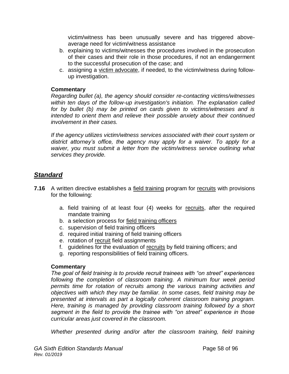victim/witness has been unusually severe and has triggered aboveaverage need for victim/witness assistance

- b. explaining to victims/witnesses the procedures involved in the prosecution of their cases and their role in those procedures, if not an endangerment to the successful prosecution of the case; and
- c. assigning a victim advocate, if needed, to the victim/witness during followup investigation.

#### **Commentary**

*Regarding bullet (a), the agency should consider re-contacting victims/witnesses within ten days of the follow-up investigation's initiation. The explanation called for by bullet (b) may be printed on cards given to victims/witnesses and is intended to orient them and relieve their possible anxiety about their continued involvement in their cases.* 

*If the agency utilizes victim/witness services associated with their court system or district attorney's office, the agency may apply for a waiver. To apply for a waiver, you must submit a letter from the victim/witness service outlining what services they provide.* 

## *Standard*

- **7.16** A written directive establishes a field training program for recruits with provisions for the following:
	- a. field training of at least four (4) weeks for recruits, after the required mandate training
	- b. a selection process for field training officers
	- c. supervision of field training officers
	- d. required initial training of field training officers
	- e. rotation of recruit field assignments
	- f. guidelines for the evaluation of recruits by field training officers; and
	- g. reporting responsibilities of field training officers.

#### **Commentary**

*The goal of field training is to provide recruit trainees with "on street" experiences*  following the completion of classroom training. A minimum four week period *permits time for rotation of recruits among the various training activities and objectives with which they may be familiar. In some cases, field training may be presented at intervals as part a logically coherent classroom training program. Here, training is managed by providing classroom training followed by a short segment in the field to provide the trainee with "on street" experience in those curricular areas just covered in the classroom.*

*Whether presented during and/or after the classroom training, field training*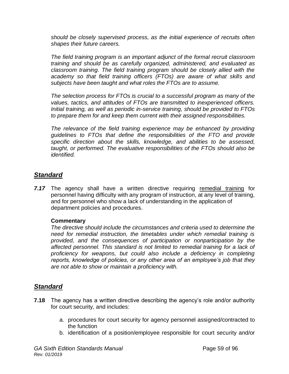*should be closely supervised process, as the initial experience of recruits often shapes their future careers.*

*The field training program is an important adjunct of the formal recruit classroom training and should be as carefully organized, administered, and evaluated as classroom training. The field training program should be closely allied with the academy so that field training officers (FTOs) are aware of what skills and subjects have been taught and what roles the FTOs are to assume.*

*The selection process for FTOs is crucial to a successful program as many of the values, tactics, and attitudes of FTOs are transmitted to inexperienced officers. Initial training, as well as periodic in-service training, should be provided to FTOs to prepare them for and keep them current with their assigned responsibilities.*

The relevance of the field training experience may be enhanced by providing *guidelines to FTOs that define the responsibilities of the FTO and provide specific direction about the skills, knowledge, and abilities to be assessed, taught, or performed. The evaluative responsibilities of the FTOs should also be identified.*

## *Standard*

*7.17* The agency shall have a written directive requiring remedial training for personnel having difficulty with any program of instruction, at any level of training, and for personnel who show a lack of understanding in the application of department policies and procedures.

#### **Commentary**

*The directive should include the circumstances and criteria used to determine the need for remedial instruction, the timetables under which remedial training is provided, and the consequences of participation or nonparticipation by the affected personnel. This standard is not limited to remedial training for a lack of proficiency for weapons, but could also include a deficiency in completing reports, knowledge of policies, or any other area of an employee's job that they are not able to show or maintain a proficiency with.* 

- **7.18** The agency has a written directive describing the agency's role and/or authority for court security, and includes:
	- a. procedures for court security for agency personnel assigned/contracted to the function
	- b. identification of a position/employee responsible for court security and/or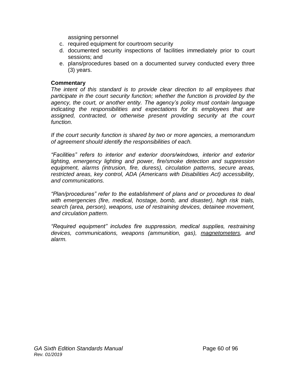assigning personnel

- c. required equipment for courtroom security
- d. documented security inspections of facilities immediately prior to court sessions; and
- e. plans/procedures based on a documented survey conducted every three (3) years.

#### **Commentary**

*The intent of this standard is to provide clear direction to all employees that participate in the court security function; whether the function is provided by the agency, the court, or another entity. The agency's policy must contain language indicating the responsibilities and expectations for its employees that are assigned, contracted, or otherwise present providing security at the court function.* 

*If the court security function is shared by two or more agencies, a memorandum of agreement should identify the responsibilities of each.*

*"Facilities" refers to interior and exterior doors/windows, interior and exterior*  lighting, emergency lighting and power, fire/smoke detection and suppression *equipment, alarms (intrusion, fire, duress), circulation patterns, secure areas, restricted areas, key control, ADA (Americans with Disabilities Act) accessibility, and communications.*

*"Plan/procedures" refer to the establishment of plans and or procedures to deal with emergencies (fire, medical, hostage, bomb, and disaster), high risk trials, search (area, person), weapons, use of restraining devices, detainee movement, and circulation pattern.*

*"Required equipment" includes fire suppression, medical supplies, restraining devices, communications, weapons (ammunition, gas), magnetometers, and alarm.*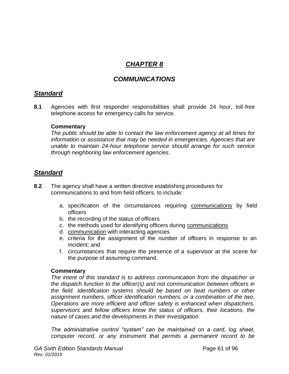## *CHAPTER 8*

## *COMMUNICATIONS*

## *Standard*

**8.1** Agencies with first responder responsibilities shall provide 24 hour, toll-free telephone access for emergency calls for service.

#### **Commentary**

*The public should be able to contact the law enforcement agency at all times for information or assistance that may be needed in emergencies. Agencies that are unable to maintain 24-hour telephone service should arrange for such service through neighboring law enforcement agencies.*

## *Standard*

- **8.2** The agency shall have a written directive establishing procedures for communications to and from field officers, to include:
	- a. specification of the circumstances requiring communications by field officers
	- b. the recording of the status of officers
	- c. the methods used for identifying officers during communications
	- d. communication with interacting agencies
	- e. criteria for the assignment of the number of officers in response to an incident; and
	- f. circumstances that require the presence of a supervisor at the scene for the purpose of assuming command.

#### **Commentary**

*The intent of this standard is to address communication from the dispatcher or the dispatch function to the officer(s) and not communication between officers in the field. Identification systems should be based on beat numbers or other assignment numbers, officer identification numbers, or a combination of the two. Operations are more efficient and officer safety is enhanced when dispatchers, supervisors and fellow officers know the status of officers, their locations, the nature of cases and the developments in their investigation.* 

*The administrative control "system" can be maintained on a card, log sheet, computer record, or any instrument that permits a permanent record to be*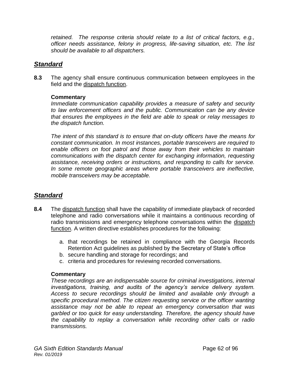*retained. The response criteria should relate to a list of critical factors, e.g., officer needs assistance, felony in progress, life-saving situation, etc. The list should be available to all dispatchers.*

## *Standard*

**8.3** The agency shall ensure continuous communication between employees in the field and the dispatch function.

#### **Commentary**

*Immediate communication capability provides a measure of safety and security to law enforcement officers and the public. Communication can be any device that ensures the employees in the field are able to speak or relay messages to the dispatch function.* 

*The intent of this standard is to ensure that on-duty officers have the means for constant communication. In most instances, portable transceivers are required to enable officers on foot patrol and those away from their vehicles to maintain communications with the dispatch center for exchanging information, requesting assistance, receiving orders or instructions, and responding to calls for service. In some remote geographic areas where portable transceivers are ineffective, mobile transceivers may be acceptable.*

## *Standard*

- **8.4** The dispatch function shall have the capability of immediate playback of recorded telephone and radio conversations while it maintains a continuous recording of radio transmissions and emergency telephone conversations within the dispatch function. A written directive establishes procedures for the following:
	- a. that recordings be retained in compliance with the Georgia Records Retention Act guidelines as published by the Secretary of State's office
	- b. secure handling and storage for recordings; and
	- c. criteria and procedures for reviewing recorded conversations.

#### **Commentary**

*These recordings are an indispensable source for criminal investigations, internal investigations, training, and audits of the agency's service delivery system. Access to secure recordings should be limited and available only through a specific procedural method. The citizen requesting service or the officer wanting assistance may not be able to repeat an emergency conversation that was garbled or too quick for easy understanding. Therefore, the agency should have the capability to replay a conversation while recording other calls or radio transmissions.*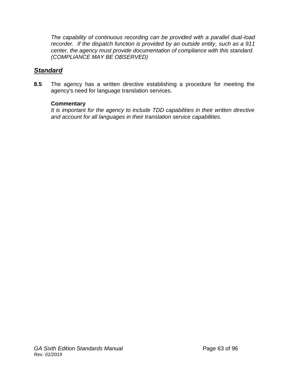*The capability of continuous recording can be provided with a parallel dual-load recorder. If the dispatch function is provided by an outside entity, such as a 911 center, the agency must provide documentation of compliance with this standard. (COMPLIANCE MAY BE OBSERVED)*

## *Standard*

**8.5** The agency has a written directive establishing a procedure for meeting the agency's need for language translation services.

#### **Commentary**

*It is important for the agency to include TDD capabilities in their written directive and account for all languages in their translation service capabilities.*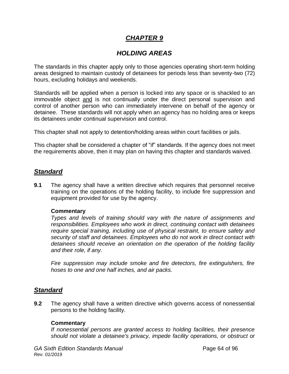## *CHAPTER 9*

## *HOLDING AREAS*

The standards in this chapter apply only to those agencies operating short-term holding areas designed to maintain custody of detainees for periods less than seventy-two (72) hours, excluding holidays and weekends.

Standards will be applied when a person is locked into any space or is shackled to an immovable object and is not continually under the direct personal supervision and control of another person who can immediately intervene on behalf of the agency or detainee. These standards will not apply when an agency has no holding area or keeps its detainees under continual supervision and control.

This chapter shall not apply to detention/holding areas within court facilities or jails.

This chapter shall be considered a chapter of "if" standards. If the agency does not meet the requirements above, then it may plan on having this chapter and standards waived.

#### *Standard*

**9.1** The agency shall have a written directive which requires that personnel receive training on the operations of the holding facility, to include fire suppression and equipment provided for use by the agency.

#### **Commentary**

*Types and levels of training should vary with the nature of assignments and responsibilities. Employees who work in direct, continuing contact with detainees require special training, including use of physical restraint, to ensure safety and security of staff and detainees. Employees who do not work in direct contact with detainees should receive an orientation on the operation of the holding facility and their role, if any.*

*Fire suppression may include smoke and fire detectors, fire extinguishers, fire hoses to one and one half inches, and air packs.*

## *Standard*

**9.2** The agency shall have a written directive which governs access of nonessential persons to the holding facility.

#### **Commentary**

*If nonessential persons are granted access to holding facilities, their presence should not violate a detainee's privacy, impede facility operations, or obstruct or*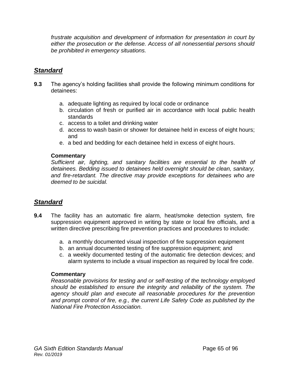*frustrate acquisition and development of information for presentation in court by either the prosecution or the defense. Access of all nonessential persons should be prohibited in emergency situations.*

## *Standard*

- **9.3** The agency's holding facilities shall provide the following minimum conditions for detainees:
	- a. adequate lighting as required by local code or ordinance
	- b. circulation of fresh or purified air in accordance with local public health standards
	- c. access to a toilet and drinking water
	- d. access to wash basin or shower for detainee held in excess of eight hours; and
	- e. a bed and bedding for each detainee held in excess of eight hours.

#### **Commentary**

*Sufficient air, lighting, and sanitary facilities are essential to the health of detainees. Bedding issued to detainees held overnight should be clean, sanitary, and fire-retardant. The directive may provide exceptions for detainees who are deemed to be suicidal.*

## *Standard*

- **9.4** The facility has an automatic fire alarm, heat/smoke detection system, fire suppression equipment approved in writing by state or local fire officials, and a written directive prescribing fire prevention practices and procedures to include:
	- a. a monthly documented visual inspection of fire suppression equipment
	- b. an annual documented testing of fire suppression equipment; and
	- c. a weekly documented testing of the automatic fire detection devices; and alarm systems to include a visual inspection as required by local fire code.

#### **Commentary**

*Reasonable provisions for testing and or self-testing of the technology employed should be established to ensure the integrity and reliability of the system. The agency should plan and execute all reasonable procedures for the prevention and prompt control of fire, e.g., the current Life Safety Code as published by the National Fire Protection Association.*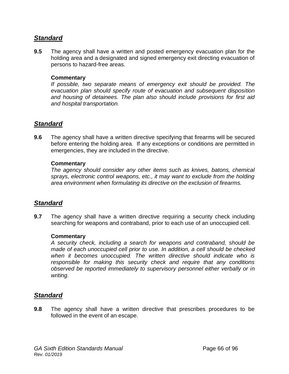## *Standard*

**9.5** The agency shall have a written and posted emergency evacuation plan for the holding area and a designated and signed emergency exit directing evacuation of persons to hazard-free areas.

#### **Commentary**

*If possible, two separate means of emergency exit should be provided. The evacuation plan should specify route of evacuation and subsequent disposition and housing of detainees. The plan also should include provisions for first aid and hospital transportation.*

## *Standard*

**9.6** The agency shall have a written directive specifying that firearms will be secured before entering the holding area. If any exceptions or conditions are permitted in emergencies, they are included in the directive.

#### **Commentary**

*The agency should consider any other items such as knives, batons, chemical sprays, electronic control weapons, etc., it may want to exclude from the holding area environment when formulating its directive on the exclusion of firearms.*

## *Standard*

**9.7** The agency shall have a written directive requiring a security check including searching for weapons and contraband, prior to each use of an unoccupied cell.

#### **Commentary**

*A security check, including a search for weapons and contraband, should be made of each unoccupied cell prior to use. In addition, a cell should be checked when it becomes unoccupied. The written directive should indicate who is responsible for making this security check and require that any conditions observed be reported immediately to supervisory personnel either verbally or in writing.*

## *Standard*

**9.8** The agency shall have a written directive that prescribes procedures to be followed in the event of an escape.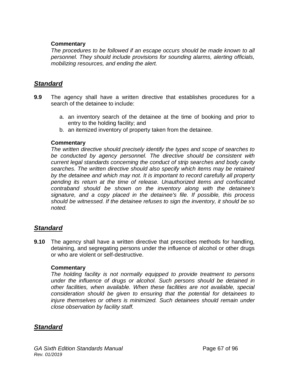*The procedures to be followed if an escape occurs should be made known to all personnel. They should include provisions for sounding alarms, alerting officials, mobilizing resources, and ending the alert.*

### *Standard*

- **9.9** The agency shall have a written directive that establishes procedures for a search of the detainee to include:
	- a. an inventory search of the detainee at the time of booking and prior to entry to the holding facility; and
	- b. an itemized inventory of property taken from the detainee.

#### **Commentary**

*The written directive should precisely identify the types and scope of searches to be conducted by agency personnel. The directive should be consistent with current legal standards concerning the conduct of strip searches and body cavity searches. The written directive should also specify which items may be retained by the detainee and which may not. It is important to record carefully all property pending its return at the time of release. Unauthorized items and confiscated contraband should be shown on the inventory along with the detainee's signature, and a copy placed in the detainee's file. If possible, this process should be witnessed. If the detainee refuses to sign the inventory, it should be so noted.*

## *Standard*

**9.10** The agency shall have a written directive that prescribes methods for handling, detaining, and segregating persons under the influence of alcohol or other drugs or who are violent or self-destructive.

#### **Commentary**

*The holding facility is not normally equipped to provide treatment to persons under the influence of drugs or alcohol. Such persons should be detained in other facilities, when available. When these facilities are not available, special consideration should be given to ensuring that the potential for detainees to injure themselves or others is minimized. Such detainees should remain under close observation by facility staff.*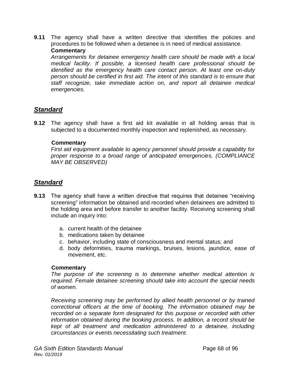**9.11** The agency shall have a written directive that identifies the policies and procedures to be followed when a detainee is in need of medical assistance. **Commentary**

*Arrangements for detainee emergency health care should be made with a local medical facility. If possible, a licensed health care professional should be identified as the emergency health care contact person. At least one on-duty person should be certified in first aid. The intent of this standard is to ensure that staff recognize, take immediate action on, and report all detainee medical emergencies.*

## *Standard*

**9.12** The agency shall have a first aid kit available in all holding areas that is subjected to a documented monthly inspection and replenished, as necessary.

#### **Commentary**

*First aid equipment available to agency personnel should provide a capability for proper response to a broad range of anticipated emergencies. (COMPLIANCE MAY BE OBSERVED)*

## *Standard*

- **9.13** The agency shall have a written directive that requires that detainee "receiving screening" information be obtained and recorded when detainees are admitted to the holding area and before transfer to another facility. Receiving screening shall include an inquiry into:
	- a. current health of the detainee
	- b. medications taken by detainee
	- c. behavior, including state of consciousness and mental status; and
	- d. body deformities, trauma markings, bruises, lesions, jaundice, ease of movement, etc.

#### **Commentary**

*The purpose of the screening is to determine whether medical attention is required. Female detainee screening should take into account the special needs of women.*

*Receiving screening may be performed by allied health personnel or by trained correctional officers at the time of booking. The information obtained may be recorded on a separate form designated for this purpose or recorded with other information obtained during the booking process. In addition, a record should be kept of all treatment and medication administered to a detainee, including circumstances or events necessitating such treatment.*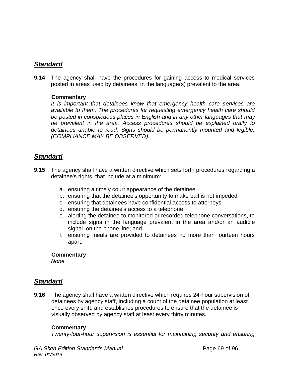## *Standard*

**9.14** The agency shall have the procedures for gaining access to medical services posted in areas used by detainees, in the language(s) prevalent to the area.

#### **Commentary**

*It is important that detainees know that emergency health care services are available to them. The procedures for requesting emergency health care should be posted in conspicuous places in English and in any other languages that may be prevalent in the area. Access procedures should be explained orally to detainees unable to read. Signs should be permanently mounted and legible. (COMPLIANCE MAY BE OBSERVED)*

## *Standard*

- **9.15** The agency shall have a written directive which sets forth procedures regarding a detainee's rights, that include at a minimum:
	- a. ensuring a timely court appearance of the detainee
	- b. ensuring that the detainee's opportunity to make bail is not impeded
	- c. ensuring that detainees have confidential access to attorneys
	- d. ensuring the detainee's access to a telephone
	- e. alerting the detainee to monitored or recorded telephone conversations, to include signs in the language prevalent in the area and/or an audible signal on the phone line; and
	- f. ensuring meals are provided to detainees no more than fourteen hours apart.

#### **Commentary**

*None*

## *Standard*

**9.16** The agency shall have a written directive which requires 24-hour supervision of detainees by agency staff, including a count of the detainee population at least once every shift, and establishes procedures to ensure that the detainee is visually observed by agency staff at least every thirty minutes.

#### **Commentary**

*Twenty-four-hour supervision is essential for maintaining security and ensuring*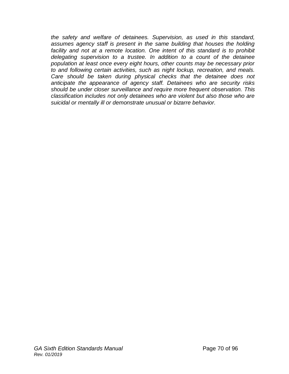*the safety and welfare of detainees. Supervision, as used in this standard,*  assumes agency staff is present in the same building that houses the holding *facility and not at a remote location. One intent of this standard is to prohibit delegating supervision to a trustee. In addition to a count of the detainee population at least once every eight hours, other counts may be necessary prior to and following certain activities, such as night lockup, recreation, and meals. Care should be taken during physical checks that the detainee does not anticipate the appearance of agency staff. Detainees who are security risks should be under closer surveillance and require more frequent observation. This classification includes not only detainees who are violent but also those who are suicidal or mentally ill or demonstrate unusual or bizarre behavior.*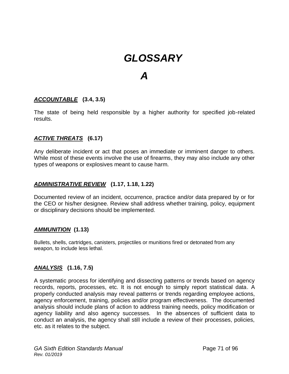# *GLOSSARY*

## *A*

#### *ACCOUNTABLE* **(3.4, 3.5)**

The state of being held responsible by a higher authority for specified job-related results.

#### *ACTIVE THREATS* **(6.17)**

Any deliberate incident or act that poses an immediate or imminent danger to others. While most of these events involve the use of firearms, they may also include any other types of weapons or explosives meant to cause harm.

#### *ADMINISTRATIVE REVIEW* **(1.17, 1.18, 1.22)**

Documented review of an incident, occurrence, practice and/or data prepared by or for the CEO or his/her designee. Review shall address whether training, policy, equipment or disciplinary decisions should be implemented.

#### *AMMUNITION* **(1.13)**

Bullets, shells, cartridges, canisters, projectiles or munitions fired or detonated from any weapon, to include less lethal.

#### *ANALYSIS* **(1.16, 7.5)**

A systematic process for identifying and dissecting patterns or trends based on agency records, reports, processes, etc. It is not enough to simply report statistical data. A properly conducted analysis may reveal patterns or trends regarding employee actions, agency enforcement, training, policies and/or program effectiveness. The documented analysis should include plans of action to address training needs, policy modification or agency liability and also agency successes. In the absences of sufficient data to conduct an analysis, the agency shall still include a review of their processes, policies, etc. as it relates to the subject.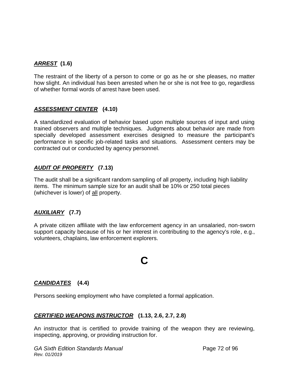## *ARREST* **(1.6)**

The restraint of the liberty of a person to come or go as he or she pleases, no matter how slight. An individual has been arrested when he or she is not free to go, regardless of whether formal words of arrest have been used.

#### *ASSESSMENT CENTER* **(4.10)**

A standardized evaluation of behavior based upon multiple sources of input and using trained observers and multiple techniques. Judgments about behavior are made from specially developed assessment exercises designed to measure the participant's performance in specific job-related tasks and situations. Assessment centers may be contracted out or conducted by agency personnel.

#### *AUDIT OF PROPERTY* **(7.13)**

The audit shall be a significant random sampling of all property, including high liability items. The minimum sample size for an audit shall be 10% or 250 total pieces (whichever is lower) of all property.

## *AUXILIARY* **(7.7)**

A private citizen affiliate with the law enforcement agency in an unsalaried, non-sworn support capacity because of his or her interest in contributing to the agency's role, e.g., volunteers, chaplains, law enforcement explorers.

# **C**

## *CANDIDATES* **(4.4)**

Persons seeking employment who have completed a formal application.

#### *CERTIFIED WEAPONS INSTRUCTOR* **(1.13, 2.6, 2.7, 2.8)**

An instructor that is certified to provide training of the weapon they are reviewing, inspecting, approving, or providing instruction for.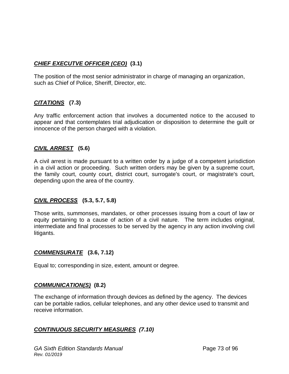### *CHIEF EXECUTVE OFFICER (CEO)* **(3.1)**

The position of the most senior administrator in charge of managing an organization, such as Chief of Police, Sheriff, Director, etc.

#### *CITATIONS* **(7.3)**

Any traffic enforcement action that involves a documented notice to the accused to appear and that contemplates trial adjudication or disposition to determine the guilt or innocence of the person charged with a violation.

#### *CIVIL ARREST* **(5.6)**

A civil arrest is made pursuant to a written order by a judge of a competent jurisdiction in a civil action or proceeding. Such written orders may be given by a supreme court, the family court, county court, district court, surrogate's court, or magistrate's court, depending upon the area of the country.

#### *CIVIL PROCESS* **(5.3, 5.7, 5.8)**

Those writs, summonses, mandates, or other processes issuing from a court of law or equity pertaining to a cause of action of a civil nature. The term includes original, intermediate and final processes to be served by the agency in any action involving civil litigants.

#### *COMMENSURATE* **(3.6, 7.12)**

Equal to; corresponding in size, extent, amount or degree.

#### *COMMUNICATION(S)* **(8.2)**

The exchange of information through devices as defined by the agency. The devices can be portable radios, cellular telephones, and any other device used to transmit and receive information.

#### *CONTINUOUS SECURITY MEASURES (7.10)*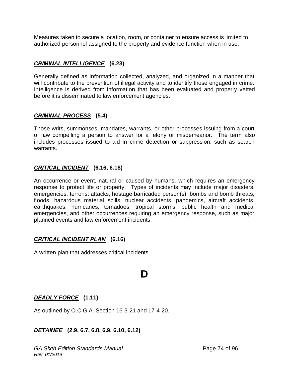Measures taken to secure a location, room, or container to ensure access is limited to authorized personnel assigned to the property and evidence function when in use.

#### *CRIMINAL INTELLIGENCE* **(6.23)**

Generally defined as information collected, analyzed, and organized in a manner that will contribute to the prevention of illegal activity and to identify those engaged in crime. Intelligence is derived from information that has been evaluated and properly vetted before it is disseminated to law enforcement agencies.

#### *CRIMINAL PROCESS* **(5.4)**

Those writs, summonses, mandates, warrants, or other processes issuing from a court of law compelling a person to answer for a felony or misdemeanor. The term also includes processes issued to aid in crime detection or suppression, such as search warrants.

#### *CRITICAL INCIDENT* **(6.16, 6.18)**

An occurrence or event, natural or caused by humans, which requires an emergency response to protect life or property. Types of incidents may include major disasters, emergencies, terrorist attacks, hostage barricaded person(s), bombs and bomb threats, floods, hazardous material spills, nuclear accidents, pandemics, aircraft accidents, earthquakes, hurricanes, tornadoes, tropical storms, public health and medical emergencies, and other occurrences requiring an emergency response, such as major planned events and law enforcement incidents.

#### *CRITICAL INCIDENT PLAN* **(6.16)**

A written plan that addresses critical incidents.

# **D**

#### *DEADLY FORCE* **(1.11)**

As outlined by O.C.G.A. Section 16-3-21 and 17-4-20.

#### *DETAINEE* **(2.9, 6.7, 6.8, 6.9, 6.10, 6.12)**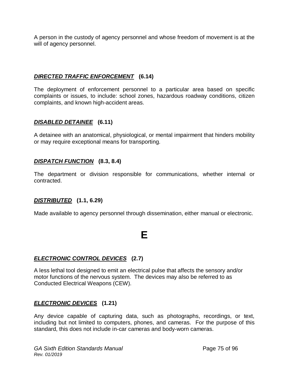A person in the custody of agency personnel and whose freedom of movement is at the will of agency personnel.

#### *DIRECTED TRAFFIC ENFORCEMENT* **(6.14)**

The deployment of enforcement personnel to a particular area based on specific complaints or issues, to include: school zones, hazardous roadway conditions, citizen complaints, and known high-accident areas.

#### *DISABLED DETAINEE* **(6.11)**

A detainee with an anatomical, physiological, or mental impairment that hinders mobility or may require exceptional means for transporting.

#### *DISPATCH FUNCTION* **(8.3, 8.4)**

The department or division responsible for communications, whether internal or contracted.

#### *DISTRIBUTED* **(1.1, 6.29)**

Made available to agency personnel through dissemination, either manual or electronic.

# **E**

#### *ELECTRONIC CONTROL DEVICES* **(2.7)**

A less lethal tool designed to emit an electrical pulse that affects the sensory and/or motor functions of the nervous system. The devices may also be referred to as Conducted Electrical Weapons (CEW).

#### *ELECTRONIC DEVICES* **(1.21)**

Any device capable of capturing data, such as photographs, recordings, or text, including but not limited to computers, phones, and cameras. For the purpose of this standard, this does not include in-car cameras and body-worn cameras.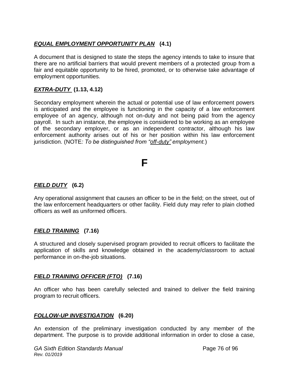### *EQUAL EMPLOYMENT OPPORTUNITY PLAN* **(4.1)**

A document that is designed to state the steps the agency intends to take to insure that there are no artificial barriers that would prevent members of a protected group from a fair and equitable opportunity to be hired, promoted, or to otherwise take advantage of employment opportunities.

#### *EXTRA-DUTY* **(1.13, 4.12)**

Secondary employment wherein the actual or potential use of law enforcement powers is anticipated and the employee is functioning in the capacity of a law enforcement employee of an agency, although not on-duty and not being paid from the agency payroll. In such an instance, the employee is considered to be working as an employee of the secondary employer, or as an independent contractor, although his law enforcement authority arises out of his or her position within his law enforcement jurisdiction. (NOTE*: To be distinguished from "off-duty" employment.*)

# **F**

#### *FIELD DUTY* **(6.2)**

Any operational assignment that causes an officer to be in the field; on the street, out of the law enforcement headquarters or other facility. Field duty may refer to plain clothed officers as well as uniformed officers.

#### *FIELD TRAINING* **(7.16)**

A structured and closely supervised program provided to recruit officers to facilitate the application of skills and knowledge obtained in the academy/classroom to actual performance in on-the-job situations.

#### *FIELD TRAINING OFFICER (FTO)* **(7.16)**

An officer who has been carefully selected and trained to deliver the field training program to recruit officers.

#### *FOLLOW-UP INVESTIGATION* **(6.20)**

An extension of the preliminary investigation conducted by any member of the department. The purpose is to provide additional information in order to close a case,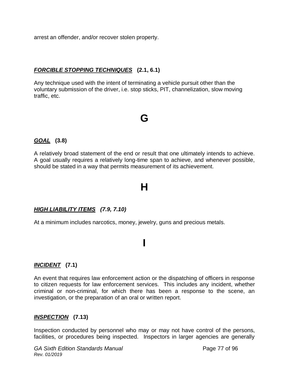arrest an offender, and/or recover stolen property.

#### *FORCIBLE STOPPING TECHNIQUES* **(2.1, 6.1)**

Any technique used with the intent of terminating a vehicle pursuit other than the voluntary submission of the driver, i.e. stop sticks, PIT, channelization, slow moving traffic, etc.

# **G**

#### *GOAL* **(3.8)**

A relatively broad statement of the end or result that one ultimately intends to achieve. A goal usually requires a relatively long-time span to achieve, and whenever possible, should be stated in a way that permits measurement of its achievement.

# **H**

#### *HIGH LIABILITY ITEMS (7.9, 7.10)*

At a minimum includes narcotics, money, jewelry, guns and precious metals.

# **I**

#### *INCIDENT* **(7.1)**

An event that requires law enforcement action or the dispatching of officers in response to citizen requests for law enforcement services. This includes any incident, whether criminal or non-criminal, for which there has been a response to the scene, an investigation, or the preparation of an oral or written report.

#### *INSPECTION* **(7.13)**

Inspection conducted by personnel who may or may not have control of the persons, facilities, or procedures being inspected. Inspectors in larger agencies are generally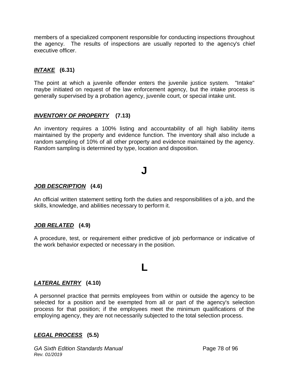members of a specialized component responsible for conducting inspections throughout the agency. The results of inspections are usually reported to the agency's chief executive officer.

#### *INTAKE* **(6.31)**

The point at which a juvenile offender enters the juvenile justice system. "Intake" maybe initiated on request of the law enforcement agency, but the intake process is generally supervised by a probation agency, juvenile court, or special intake unit.

#### *INVENTORY OF PROPERTY* **(7.13)**

An inventory requires a 100% listing and accountability of all high liability items maintained by the property and evidence function. The inventory shall also include a random sampling of 10% of all other property and evidence maintained by the agency. Random sampling is determined by type, location and disposition.

# **J**

#### *JOB DESCRIPTION* **(4.6)**

An official written statement setting forth the duties and responsibilities of a job, and the skills, knowledge, and abilities necessary to perform it.

#### *JOB RELATED* **(4.9)**

A procedure, test, or requirement either predictive of job performance or indicative of the work behavior expected or necessary in the position.

# **L**

#### *LATERAL ENTRY* **(4.10)**

A personnel practice that permits employees from within or outside the agency to be selected for a position and be exempted from all or part of the agency's selection process for that position; if the employees meet the minimum qualifications of the employing agency, they are not necessarily subjected to the total selection process.

#### *LEGAL PROCESS* **(5.5)**

*GA Sixth Edition Standards Manual* **Page 78 of 96** *Rev. 01/2019*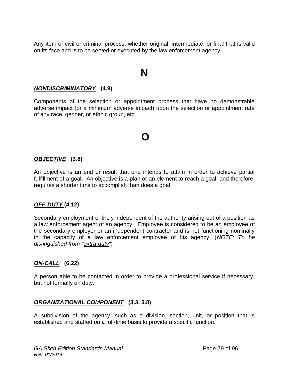Any item of civil or criminal process, whether original, intermediate, or final that is valid on its face and is to be served or executed by the law enforcement agency.

# **N**

#### *NONDISCRIMINATORY* **(4.9)**

Components of the selection or appointment process that have no demonstrable adverse impact (or a minimum adverse impact) upon the selection or appointment rate of any race, gender, or ethnic group, etc.

# **O**

#### *OBJECTIVE* **(3.8)**

An objective is an end or result that one intends to attain in order to achieve partial fulfillment of a goal. An objective is a plan or an element to reach a goal, and therefore, requires a shorter time to accomplish than does a goal.

#### *OFF-DUTY* **(4.12)**

Secondary employment entirely independent of the authority arising out of a position as a law enforcement agent of an agency. Employee is considered to be an employee of the secondary employer or an independent contractor and is not functioning nominally in the capacity of a law enforcement employee of his agency. (*NOTE: To be distinguished from "extra-duty"*)

#### *ON-CALL* **(6.22)**

A person able to be contacted in order to provide a professional service if necessary, but not formally on duty.

#### *ORGANIZATIONAL COMPONENT* **(3.3, 3.8)**

A subdivision of the agency, such as a division, section, unit, or position that is established and staffed on a full-time basis to provide a specific function.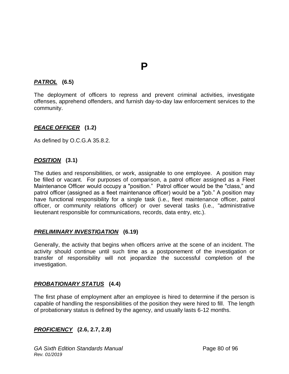#### *PATROL* **(6.5)**

The deployment of officers to repress and prevent criminal activities, investigate offenses, apprehend offenders, and furnish day-to-day law enforcement services to the community.

**P**

#### *PEACE OFFICER* **(1.2)**

As defined by O.C.G.A 35.8.2.

#### *POSITION* **(3.1)**

The duties and responsibilities, or work, assignable to one employee. A position may be filled or vacant. For purposes of comparison, a patrol officer assigned as a Fleet Maintenance Officer would occupy a "position." Patrol officer would be the "class," and patrol officer (assigned as a fleet maintenance officer) would be a "job." A position may have functional responsibility for a single task (i.e., fleet maintenance officer, patrol officer, or community relations officer) or over several tasks (i.e., "administrative lieutenant responsible for communications, records, data entry, etc.).

#### *PRELIMINARY INVESTIGATION* **(6.19)**

Generally, the activity that begins when officers arrive at the scene of an incident. The activity should continue until such time as a postponement of the investigation or transfer of responsibility will not jeopardize the successful completion of the investigation.

#### *PROBATIONARY STATUS* **(4.4)**

The first phase of employment after an employee is hired to determine if the person is capable of handling the responsibilities of the position they were hired to fill. The length of probationary status is defined by the agency, and usually lasts 6-12 months.

#### *PROFICIENCY* **(2.6, 2.7, 2.8)**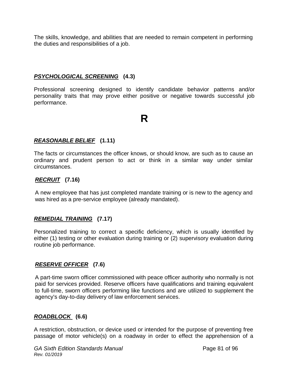The skills, knowledge, and abilities that are needed to remain competent in performing the duties and responsibilities of a job.

#### *PSYCHOLOGICAL SCREENING* **(4.3)**

Professional screening designed to identify candidate behavior patterns and/or personality traits that may prove either positive or negative towards successful job performance.

**R**

#### *REASONABLE BELIEF* **(1.11)**

The facts or circumstances the officer knows, or should know, are such as to cause an ordinary and prudent person to act or think in a similar way under similar circumstances.

#### *RECRUIT* **(7.16)**

A new employee that has just completed mandate training or is new to the agency and was hired as a pre-service employee (already mandated).

#### *REMEDIAL TRAINING* **(7.17)**

Personalized training to correct a specific deficiency, which is usually identified by either (1) testing or other evaluation during training or (2) supervisory evaluation during routine job performance.

#### *RESERVE OFFICER* **(7.6)**

A part-time sworn officer commissioned with peace officer authority who normally is not paid for services provided. Reserve officers have qualifications and training equivalent to full-time, sworn officers performing like functions and are utilized to supplement the agency's day-to-day delivery of law enforcement services.

#### *ROADBLOCK* **(6.6)**

A restriction, obstruction, or device used or intended for the purpose of preventing free passage of motor vehicle(s) on a roadway in order to effect the apprehension of a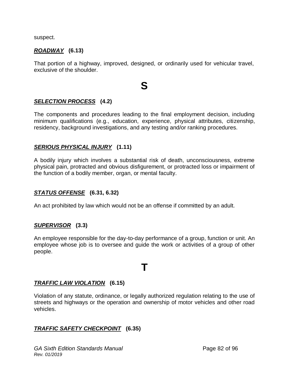suspect.

#### *ROADWAY* **(6.13)**

That portion of a highway, improved, designed, or ordinarily used for vehicular travel, exclusive of the shoulder.

# **S**

#### *SELECTION PROCESS* **(4.2)**

The components and procedures leading to the final employment decision, including minimum qualifications (e.g., education, experience, physical attributes, citizenship, residency, background investigations, and any testing and/or ranking procedures.

#### *SERIOUS PHYSICAL INJURY* **(1.11)**

A bodily injury which involves a substantial risk of death, unconsciousness, extreme physical pain, protracted and obvious disfigurement, or protracted loss or impairment of the function of a bodily member, organ, or mental faculty.

#### *STATUS OFFENSE* **(6.31, 6.32)**

An act prohibited by law which would not be an offense if committed by an adult.

#### *SUPERVISOR* **(3.3)**

An employee responsible for the day-to-day performance of a group, function or unit. An employee whose job is to oversee and guide the work or activities of a group of other people.

# **T**

#### *TRAFFIC LAW VIOLATION* **(6.15)**

Violation of any statute, ordinance, or legally authorized regulation relating to the use of streets and highways or the operation and ownership of motor vehicles and other road vehicles.

#### *TRAFFIC SAFETY CHECKPOINT* **(6.35)**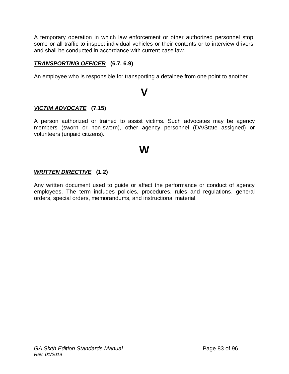A temporary operation in which law enforcement or other authorized personnel stop some or all traffic to inspect individual vehicles or their contents or to interview drivers and shall be conducted in accordance with current case law.

#### *TRANSPORTING OFFICER* **(6.7, 6.9)**

An employee who is responsible for transporting a detainee from one point to another

# **V**

#### *VICTIM ADVOCATE* **(7.15)**

A person authorized or trained to assist victims. Such advocates may be agency members (sworn or non-sworn), other agency personnel (DA/State assigned) or volunteers (unpaid citizens).

# **W**

#### *WRITTEN DIRECTIVE* **(1.2)**

Any written document used to guide or affect the performance or conduct of agency employees. The term includes policies, procedures, rules and regulations, general orders, special orders, memorandums, and instructional material.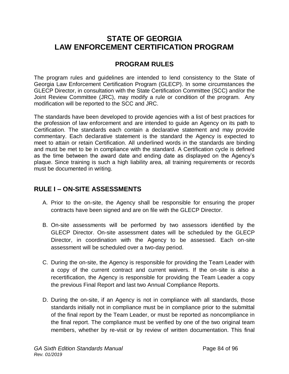# **STATE OF GEORGIA LAW ENFORCEMENT CERTIFICATION PROGRAM**

## **PROGRAM RULES**

The program rules and guidelines are intended to lend consistency to the State of Georgia Law Enforcement Certification Program (GLECP). In some circumstances the GLECP Director, in consultation with the State Certification Committee (SCC) and/or the Joint Review Committee (JRC), may modify a rule or condition of the program. Any modification will be reported to the SCC and JRC.

The standards have been developed to provide agencies with a list of best practices for the profession of law enforcement and are intended to guide an Agency on its path to Certification. The standards each contain a declarative statement and may provide commentary. Each declarative statement is the standard the Agency is expected to meet to attain or retain Certification. All underlined words in the standards are binding and must be met to be in compliance with the standard. A Certification cycle is defined as the time between the award date and ending date as displayed on the Agency's plaque. Since training is such a high liability area, all training requirements or records must be documented in writing.

## **RULE I – ON-SITE ASSESSMENTS**

- A. Prior to the on-site, the Agency shall be responsible for ensuring the proper contracts have been signed and are on file with the GLECP Director.
- B. On-site assessments will be performed by two assessors identified by the GLECP Director. On-site assessment dates will be scheduled by the GLECP Director, in coordination with the Agency to be assessed. Each on-site assessment will be scheduled over a two-day period.
- C. During the on-site, the Agency is responsible for providing the Team Leader with a copy of the current contract and current waivers. If the on-site is also a recertification, the Agency is responsible for providing the Team Leader a copy the previous Final Report and last two Annual Compliance Reports.
- D. During the on-site, if an Agency is not in compliance with all standards, those standards initially not in compliance must be in compliance prior to the submittal of the final report by the Team Leader, or must be reported as noncompliance in the final report. The compliance must be verified by one of the two original team members, whether by re-visit or by review of written documentation. This final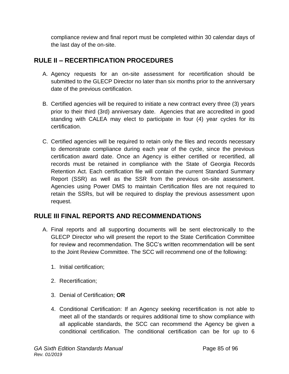compliance review and final report must be completed within 30 calendar days of the last day of the on-site.

# **RULE II – RECERTIFICATION PROCEDURES**

- A. Agency requests for an on-site assessment for recertification should be submitted to the GLECP Director no later than six months prior to the anniversary date of the previous certification.
- B. Certified agencies will be required to initiate a new contract every three (3) years prior to their third (3rd) anniversary date. Agencies that are accredited in good standing with CALEA may elect to participate in four (4) year cycles for its certification.
- C. Certified agencies will be required to retain only the files and records necessary to demonstrate compliance during each year of the cycle, since the previous certification award date. Once an Agency is either certified or recertified, all records must be retained in compliance with the State of Georgia Records Retention Act. Each certification file will contain the current Standard Summary Report (SSR) as well as the SSR from the previous on-site assessment. Agencies using Power DMS to maintain Certification files are not required to retain the SSRs, but will be required to display the previous assessment upon request.

## **RULE III FINAL REPORTS AND RECOMMENDATIONS**

- A. Final reports and all supporting documents will be sent electronically to the GLECP Director who will present the report to the State Certification Committee for review and recommendation. The SCC's written recommendation will be sent to the Joint Review Committee. The SCC will recommend one of the following:
	- 1. Initial certification;
	- 2. Recertification;
	- 3. Denial of Certification; **OR**
	- 4. Conditional Certification: If an Agency seeking recertification is not able to meet all of the standards or requires additional time to show compliance with all applicable standards, the SCC can recommend the Agency be given a conditional certification. The conditional certification can be for up to 6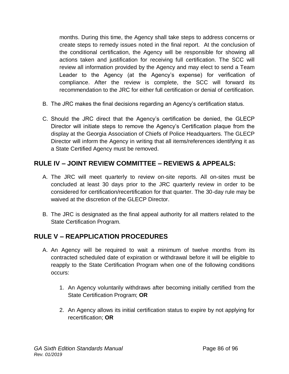months. During this time, the Agency shall take steps to address concerns or create steps to remedy issues noted in the final report. At the conclusion of the conditional certification, the Agency will be responsible for showing all actions taken and justification for receiving full certification. The SCC will review all information provided by the Agency and may elect to send a Team Leader to the Agency (at the Agency's expense) for verification of compliance. After the review is complete, the SCC will forward its recommendation to the JRC for either full certification or denial of certification.

- B. The JRC makes the final decisions regarding an Agency's certification status.
- C. Should the JRC direct that the Agency's certification be denied, the GLECP Director will initiate steps to remove the Agency's Certification plaque from the display at the Georgia Association of Chiefs of Police Headquarters. The GLECP Director will inform the Agency in writing that all items/references identifying it as a State Certified Agency must be removed.

## **RULE IV – JOINT REVIEW COMMITTEE – REVIEWS & APPEALS:**

- A. The JRC will meet quarterly to review on-site reports. All on-sites must be concluded at least 30 days prior to the JRC quarterly review in order to be considered for certification/recertification for that quarter. The 30-day rule may be waived at the discretion of the GLECP Director.
- B. The JRC is designated as the final appeal authority for all matters related to the State Certification Program.

## **RULE V – REAPPLICATION PROCEDURES**

- A. An Agency will be required to wait a minimum of twelve months from its contracted scheduled date of expiration or withdrawal before it will be eligible to reapply to the State Certification Program when one of the following conditions occurs:
	- 1. An Agency voluntarily withdraws after becoming initially certified from the State Certification Program; **OR**
	- 2. An Agency allows its initial certification status to expire by not applying for recertification; **OR**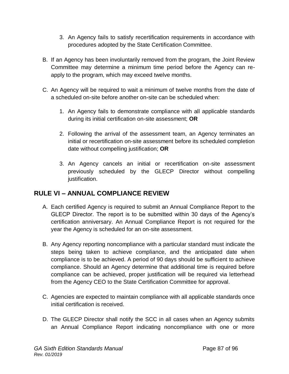- 3. An Agency fails to satisfy recertification requirements in accordance with procedures adopted by the State Certification Committee.
- B. If an Agency has been involuntarily removed from the program, the Joint Review Committee may determine a minimum time period before the Agency can reapply to the program, which may exceed twelve months.
- C. An Agency will be required to wait a minimum of twelve months from the date of a scheduled on-site before another on-site can be scheduled when:
	- 1. An Agency fails to demonstrate compliance with all applicable standards during its initial certification on-site assessment; **OR**
	- 2. Following the arrival of the assessment team, an Agency terminates an initial or recertification on-site assessment before its scheduled completion date without compelling justification; **OR**
	- 3. An Agency cancels an initial or recertification on-site assessment previously scheduled by the GLECP Director without compelling justification.

# **RULE VI – ANNUAL COMPLIANCE REVIEW**

- A. Each certified Agency is required to submit an Annual Compliance Report to the GLECP Director. The report is to be submitted within 30 days of the Agency's certification anniversary. An Annual Compliance Report is not required for the year the Agency is scheduled for an on-site assessment.
- B. Any Agency reporting noncompliance with a particular standard must indicate the steps being taken to achieve compliance, and the anticipated date when compliance is to be achieved. A period of 90 days should be sufficient to achieve compliance. Should an Agency determine that additional time is required before compliance can be achieved, proper justification will be required via letterhead from the Agency CEO to the State Certification Committee for approval.
- C. Agencies are expected to maintain compliance with all applicable standards once initial certification is received.
- D. The GLECP Director shall notify the SCC in all cases when an Agency submits an Annual Compliance Report indicating noncompliance with one or more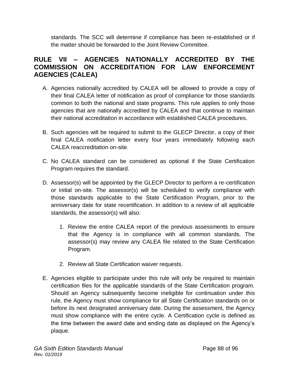standards. The SCC will determine if compliance has been re-established or if the matter should be forwarded to the Joint Review Committee.

## **RULE VII – AGENCIES NATIONALLY ACCREDITED BY THE COMMISSION ON ACCREDITATION FOR LAW ENFORCEMENT AGENCIES (CALEA)**

- A. Agencies nationally accredited by CALEA will be allowed to provide a copy of their final CALEA letter of notification as proof of compliance for those standards common to both the national and state programs. This rule applies to only those agencies that are nationally accredited by CALEA and that continue to maintain their national accreditation in accordance with established CALEA procedures.
- B. Such agencies will be required to submit to the GLECP Director, a copy of their final CALEA notification letter every four years immediately following each CALEA reaccreditation on-site.
- C. No CALEA standard can be considered as optional if the State Certification Program requires the standard.
- D. Assessor(s) will be appointed by the GLECP Director to perform a re-certification or initial on-site. The assessor(s) will be scheduled to verify compliance with those standards applicable to the State Certification Program, prior to the anniversary date for state recertification. In addition to a review of all applicable standards, the assessor(s) will also:
	- 1. Review the entire CALEA report of the previous assessments to ensure that the Agency is in compliance with all common standards. The assessor(s) may review any CALEA file related to the State Certification Program.
	- 2. Review all State Certification waiver requests.
- E. Agencies eligible to participate under this rule will only be required to maintain certification files for the applicable standards of the State Certification program. Should an Agency subsequently become ineligible for continuation under this rule, the Agency must show compliance for all State Certification standards on or before its next designated anniversary date. During the assessment, the Agency must show compliance with the entire cycle. A Certification cycle is defined as the time between the award date and ending date as displayed on the Agency's plaque.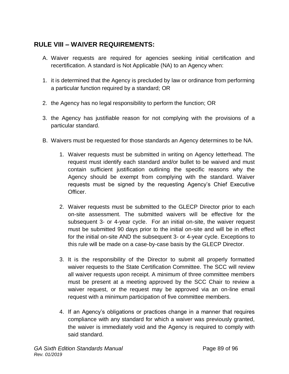# **RULE VIII – WAIVER REQUIREMENTS:**

- A. Waiver requests are required for agencies seeking initial certification and recertification. A standard is Not Applicable (NA) to an Agency when:
- 1. it is determined that the Agency is precluded by law or ordinance from performing a particular function required by a standard; OR
- 2. the Agency has no legal responsibility to perform the function; OR
- 3. the Agency has justifiable reason for not complying with the provisions of a particular standard.
- B. Waivers must be requested for those standards an Agency determines to be NA.
	- 1. Waiver requests must be submitted in writing on Agency letterhead. The request must identify each standard and/or bullet to be waived and must contain sufficient justification outlining the specific reasons why the Agency should be exempt from complying with the standard. Waiver requests must be signed by the requesting Agency's Chief Executive Officer.
	- 2. Waiver requests must be submitted to the GLECP Director prior to each on-site assessment. The submitted waivers will be effective for the subsequent 3- or 4-year cycle. For an initial on-site, the waiver request must be submitted 90 days prior to the initial on-site and will be in effect for the initial on-site AND the subsequent 3- or 4-year cycle. Exceptions to this rule will be made on a case-by-case basis by the GLECP Director.
	- 3. It is the responsibility of the Director to submit all properly formatted waiver requests to the State Certification Committee. The SCC will review all waiver requests upon receipt. A minimum of three committee members must be present at a meeting approved by the SCC Chair to review a waiver request, or the request may be approved via an on-line email request with a minimum participation of five committee members.
	- 4. If an Agency's obligations or practices change in a manner that requires compliance with any standard for which a waiver was previously granted, the waiver is immediately void and the Agency is required to comply with said standard.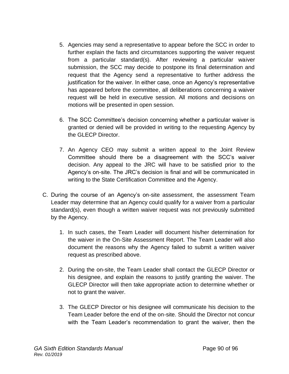- 5. Agencies may send a representative to appear before the SCC in order to further explain the facts and circumstances supporting the waiver request from a particular standard(s). After reviewing a particular waiver submission, the SCC may decide to postpone its final determination and request that the Agency send a representative to further address the justification for the waiver. In either case, once an Agency's representative has appeared before the committee, all deliberations concerning a waiver request will be held in executive session. All motions and decisions on motions will be presented in open session.
- 6. The SCC Committee's decision concerning whether a particular waiver is granted or denied will be provided in writing to the requesting Agency by the GLECP Director.
- 7. An Agency CEO may submit a written appeal to the Joint Review Committee should there be a disagreement with the SCC's waiver decision. Any appeal to the JRC will have to be satisfied prior to the Agency's on-site. The JRC's decision is final and will be communicated in writing to the State Certification Committee and the Agency.
- C. During the course of an Agency's on-site assessment, the assessment Team Leader may determine that an Agency could qualify for a waiver from a particular standard(s), even though a written waiver request was not previously submitted by the Agency.
	- 1. In such cases, the Team Leader will document his/her determination for the waiver in the On-Site Assessment Report. The Team Leader will also document the reasons why the Agency failed to submit a written waiver request as prescribed above.
	- 2. During the on-site, the Team Leader shall contact the GLECP Director or his designee, and explain the reasons to justify granting the waiver. The GLECP Director will then take appropriate action to determine whether or not to grant the waiver.
	- 3. The GLECP Director or his designee will communicate his decision to the Team Leader before the end of the on-site. Should the Director not concur with the Team Leader's recommendation to grant the waiver, then the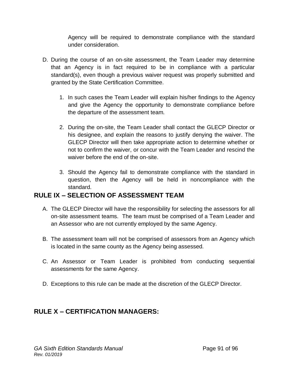Agency will be required to demonstrate compliance with the standard under consideration.

- D. During the course of an on-site assessment, the Team Leader may determine that an Agency is in fact required to be in compliance with a particular standard(s), even though a previous waiver request was properly submitted and granted by the State Certification Committee.
	- 1. In such cases the Team Leader will explain his/her findings to the Agency and give the Agency the opportunity to demonstrate compliance before the departure of the assessment team.
	- 2. During the on-site, the Team Leader shall contact the GLECP Director or his designee, and explain the reasons to justify denying the waiver. The GLECP Director will then take appropriate action to determine whether or not to confirm the waiver, or concur with the Team Leader and rescind the waiver before the end of the on-site.
	- 3. Should the Agency fail to demonstrate compliance with the standard in question, then the Agency will be held in noncompliance with the standard.

## **RULE IX – SELECTION OF ASSESSMENT TEAM**

- A. The GLECP Director will have the responsibility for selecting the assessors for all on-site assessment teams. The team must be comprised of a Team Leader and an Assessor who are not currently employed by the same Agency.
- B. The assessment team will not be comprised of assessors from an Agency which is located in the same county as the Agency being assessed.
- C. An Assessor or Team Leader is prohibited from conducting sequential assessments for the same Agency.
- D. Exceptions to this rule can be made at the discretion of the GLECP Director.

# **RULE X – CERTIFICATION MANAGERS:**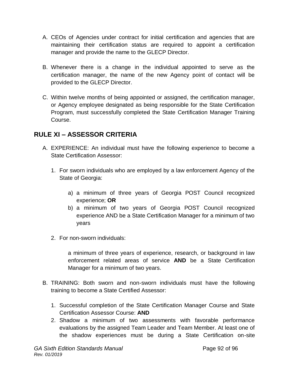- A. CEOs of Agencies under contract for initial certification and agencies that are maintaining their certification status are required to appoint a certification manager and provide the name to the GLECP Director.
- B. Whenever there is a change in the individual appointed to serve as the certification manager, the name of the new Agency point of contact will be provided to the GLECP Director.
- C. Within twelve months of being appointed or assigned, the certification manager, or Agency employee designated as being responsible for the State Certification Program, must successfully completed the State Certification Manager Training Course.

## **RULE XI – ASSESSOR CRITERIA**

- A. EXPERIENCE: An individual must have the following experience to become a State Certification Assessor:
	- 1. For sworn individuals who are employed by a law enforcement Agency of the State of Georgia:
		- a) a minimum of three years of Georgia POST Council recognized experience; **OR**
		- b) a minimum of two years of Georgia POST Council recognized experience AND be a State Certification Manager for a minimum of two years
	- 2. For non-sworn individuals:

a minimum of three years of experience, research, or background in law enforcement related areas of service **AND** be a State Certification Manager for a minimum of two years.

- B. TRAINING: Both sworn and non-sworn individuals must have the following training to become a State Certified Assessor:
	- 1. Successful completion of the State Certification Manager Course and State Certification Assessor Course: **AND**
	- 2. Shadow a minimum of two assessments with favorable performance evaluations by the assigned Team Leader and Team Member. At least one of the shadow experiences must be during a State Certification on-site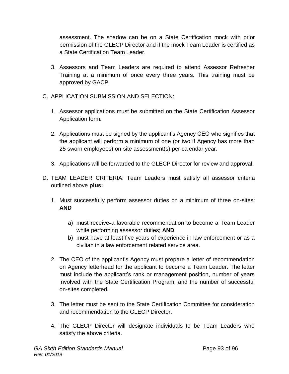assessment. The shadow can be on a State Certification mock with prior permission of the GLECP Director and if the mock Team Leader is certified as a State Certification Team Leader.

- 3. Assessors and Team Leaders are required to attend Assessor Refresher Training at a minimum of once every three years. This training must be approved by GACP.
- C. APPLICATION SUBMISSION AND SELECTION:
	- 1. Assessor applications must be submitted on the State Certification Assessor Application form.
	- 2. Applications must be signed by the applicant's Agency CEO who signifies that the applicant will perform a minimum of one (or two if Agency has more than 25 sworn employees) on-site assessment(s) per calendar year.
	- 3. Applications will be forwarded to the GLECP Director for review and approval.
- D. TEAM LEADER CRITERIA: Team Leaders must satisfy all assessor criteria outlined above **plus:**
	- 1. Must successfully perform assessor duties on a minimum of three on-sites; **AND**
		- a) must receive a favorable recommendation to become a Team Leader while performing assessor duties; **AND**
		- b) must have at least five years of experience in law enforcement or as a civilian in a law enforcement related service area.
	- 2. The CEO of the applicant's Agency must prepare a letter of recommendation on Agency letterhead for the applicant to become a Team Leader. The letter must include the applicant's rank or management position, number of years involved with the State Certification Program, and the number of successful on-sites completed.
	- 3. The letter must be sent to the State Certification Committee for consideration and recommendation to the GLECP Director.
	- 4. The GLECP Director will designate individuals to be Team Leaders who satisfy the above criteria.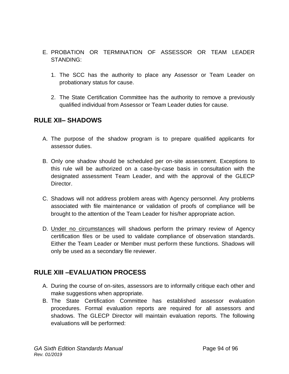- E. PROBATION OR TERMINATION OF ASSESSOR OR TEAM LEADER STANDING:
	- 1. The SCC has the authority to place any Assessor or Team Leader on probationary status for cause.
	- 2. The State Certification Committee has the authority to remove a previously qualified individual from Assessor or Team Leader duties for cause.

### **RULE XII– SHADOWS**

- A. The purpose of the shadow program is to prepare qualified applicants for assessor duties.
- B. Only one shadow should be scheduled per on-site assessment. Exceptions to this rule will be authorized on a case-by-case basis in consultation with the designated assessment Team Leader, and with the approval of the GLECP Director.
- C. Shadows will not address problem areas with Agency personnel. Any problems associated with file maintenance or validation of proofs of compliance will be brought to the attention of the Team Leader for his/her appropriate action.
- D. Under no circumstances will shadows perform the primary review of Agency certification files or be used to validate compliance of observation standards. Either the Team Leader or Member must perform these functions. Shadows will only be used as a secondary file reviewer.

## **RULE XIII –EVALUATION PROCESS**

- A. During the course of on-sites, assessors are to informally critique each other and make suggestions when appropriate.
- B. The State Certification Committee has established assessor evaluation procedures. Formal evaluation reports are required for all assessors and shadows. The GLECP Director will maintain evaluation reports. The following evaluations will be performed: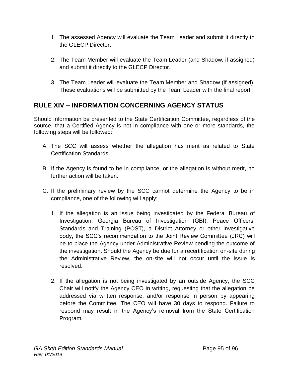- 1. The assessed Agency will evaluate the Team Leader and submit it directly to the GLECP Director.
- 2. The Team Member will evaluate the Team Leader (and Shadow, if assigned) and submit it directly to the GLECP Director.
- 3. The Team Leader will evaluate the Team Member and Shadow (if assigned). These evaluations will be submitted by the Team Leader with the final report.

## **RULE XIV – INFORMATION CONCERNING AGENCY STATUS**

Should information be presented to the State Certification Committee, regardless of the source, that a Certified Agency is not in compliance with one or more standards, the following steps will be followed:

- A. The SCC will assess whether the allegation has merit as related to State Certification Standards.
- B. If the Agency is found to be in compliance, or the allegation is without merit, no further action will be taken.
- C. If the preliminary review by the SCC cannot determine the Agency to be in compliance, one of the following will apply:
	- 1. If the allegation is an issue being investigated by the Federal Bureau of Investigation, Georgia Bureau of Investigation (GBI), Peace Officers' Standards and Training (POST), a District Attorney or other investigative body, the SCC's recommendation to the Joint Review Committee (JRC) will be to place the Agency under Administrative Review pending the outcome of the investigation. Should the Agency be due for a recertification on-site during the Administrative Review, the on-site will not occur until the issue is resolved.
	- 2. If the allegation is not being investigated by an outside Agency, the SCC Chair will notify the Agency CEO in writing, requesting that the allegation be addressed via written response, and/or response in person by appearing before the Committee. The CEO will have 30 days to respond. Failure to respond may result in the Agency's removal from the State Certification Program.